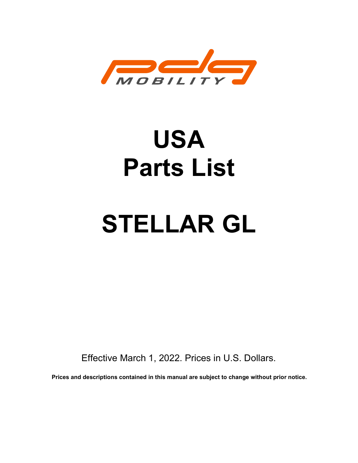

# USA Parts List

# STELLAR GL

Effective March 1, 2022. Prices in U.S. Dollars.

Prices and descriptions contained in this manual are subject to change without prior notice.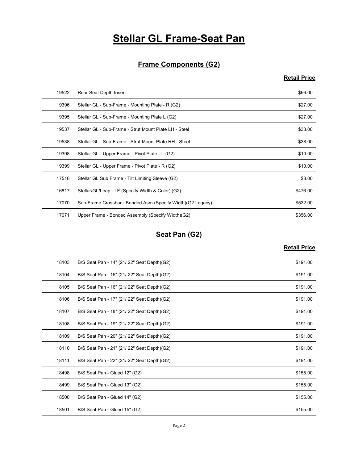# **Stellar GL Frame-Seat Pan**

# Frame Components (G2)

# Retail Price

|       | <b>Stellar GL Frame-Seat Pan</b>                           |                     |
|-------|------------------------------------------------------------|---------------------|
|       |                                                            |                     |
|       | <b>Frame Components (G2)</b>                               |                     |
|       |                                                            | <b>Retail Price</b> |
| 19522 | Rear Seat Depth Insert                                     | \$66.00             |
| 19396 | Stellar GL - Sub-Frame - Mounting Plate - R (G2)           | \$27.00             |
| 19395 | Stellar GL - Sub-Frame - Mounting Plate L (G2)             | \$27.00             |
| 19537 | Stellar GL - Sub-Frame - Strut Mount Plate LH - Steel      | \$38.00             |
| 19538 | Stellar GL - Sub-Frame - Strut Mount Plate RH - Steel      | \$38.00             |
| 19398 | Stellar GL - Upper Frame - Pivot Plate - L (G2)            | \$10.00             |
| 19399 | Stellar GL - Upper Frame - Pivot Plate - R (G2)            | \$10.00             |
| 17516 | Stellar GL Sub Frame - Tilt Limiting Sleeve (G2)           | \$8.00              |
| 16817 | Stellar/GL/Leap - LF (Specify Width & Color) (G2)          | \$476.00            |
| 17070 | Sub-Frame Crossbar - Bonded Asm (Specify Width)(G2 Legacy) | \$532.00            |
| 17071 | Upper Frame - Bonded Assembly (Specify Width)(G2)          | \$356.00            |
|       | Seat Pan (G2)                                              |                     |
|       |                                                            | <b>Retail Price</b> |
| 18103 | B/S Seat Pan - 14" (21/ 22" Seat Depth)(G2)                | \$191.00            |
| 18104 | B/S Seat Pan - 15" (21/ 22" Seat Depth)(G2)                | \$191.00            |
| 18105 | B/S Seat Pan - 16" (21/ 22" Seat Depth)(G2)                | \$191.00            |
| 18106 | B/S Seat Pan - 17" (21/ 22" Seat Depth)(G2)                | \$191.00            |
| 18107 | B/S Seat Pan - 18" (21/22" Seat Depth)(G2)                 | \$191.00            |
| 18108 | B/S Seat Pan - 19" (21/ 22" Seat Denth)(G2)                | \$19100             |

# Seat Pan (G2)

| 19398 | Stellar GL - Upper Frame - Pivot Plate - L (G2)            | \$10.00             |
|-------|------------------------------------------------------------|---------------------|
| 19399 | Stellar GL - Upper Frame - Pivot Plate - R (G2)            | \$10.00             |
| 17516 | Stellar GL Sub Frame - Tilt Limiting Sleeve (G2)           | \$8.00              |
| 16817 | Stellar/GL/Leap - LF (Specify Width & Color) (G2)          | \$476.00            |
| 17070 | Sub-Frame Crossbar - Bonded Asm (Specify Width)(G2 Legacy) | \$532.00            |
| 17071 | Upper Frame - Bonded Assembly (Specify Width)(G2)          | \$356.00            |
|       |                                                            |                     |
|       | Seat Pan (G2)                                              |                     |
|       |                                                            | <b>Retail Price</b> |
| 18103 | B/S Seat Pan - 14" (21/ 22" Seat Depth)(G2)                | \$191.00            |
| 18104 | B/S Seat Pan - 15" (21/ 22" Seat Depth)(G2)                | \$191.00            |
| 18105 | B/S Seat Pan - 16" (21/ 22" Seat Depth)(G2)                | \$191.00            |
| 18106 | B/S Seat Pan - 17" (21/ 22" Seat Depth)(G2)                | \$191.00            |
| 18107 | B/S Seat Pan - 18" (21/22" Seat Depth)(G2)                 | \$191.00            |
| 18108 | B/S Seat Pan - 19" (21/ 22" Seat Depth)(G2)                | \$191.00            |
| 18109 | B/S Seat Pan - 20" (21/22" Seat Depth)(G2)                 | \$191.00            |
| 18110 | B/S Seat Pan - 21" (21/ 22" Seat Depth)(G2)                | \$191.00            |
| 18111 | B/S Seat Pan - 22" (21/ 22" Seat Depth)(G2)                | \$191.00            |
| 18498 | B/S Seat Pan - Glued 12" (G2)                              | \$155.00            |
|       | B/S Seat Pan - Glued 13" (G2)                              | \$155.00            |
| 18499 |                                                            |                     |
| 18500 | B/S Seat Pan - Glued 14" (G2)                              | \$155.00            |
| 18501 | B/S Seat Pan - Glued 15" (G2)                              | \$155.00            |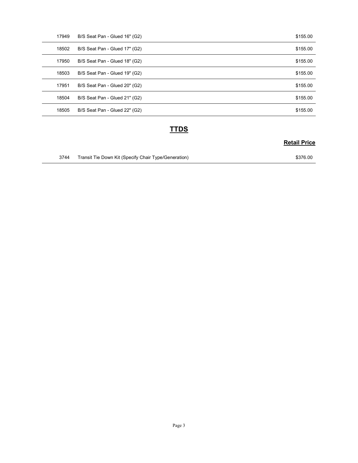| 17949 | B/S Seat Pan - Glued 16" (G2) | \$155.00            |
|-------|-------------------------------|---------------------|
| 18502 | B/S Seat Pan - Glued 17" (G2) | \$155.00            |
| 17950 | B/S Seat Pan - Glued 18" (G2) | \$155.00            |
| 18503 | B/S Seat Pan - Glued 19" (G2) | \$155.00            |
| 17951 | B/S Seat Pan - Glued 20" (G2) | \$155.00            |
| 18504 | B/S Seat Pan - Glued 21" (G2) | \$155.00            |
|       |                               |                     |
| 18505 | B/S Seat Pan - Glued 22" (G2) | \$155.00            |
|       | <b>TTDS</b>                   |                     |
|       |                               | <b>Retail Price</b> |

# **TTDS**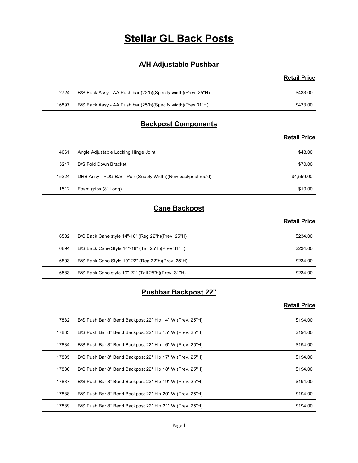# Stellar GL Back Posts

# A/H Adjustable Pushbar

# Retail Price

|       | <b>Stellar GL Back Posts</b>                                  |                     |
|-------|---------------------------------------------------------------|---------------------|
|       |                                                               |                     |
|       | <b>A/H Adjustable Pushbar</b>                                 |                     |
|       |                                                               | <b>Retail Price</b> |
|       |                                                               |                     |
| 2724  | B/S Back Assy - AA Push bar (22"h)(Specify width)(Prev. 25"H) | \$433.00            |
| 16897 | B/S Back Assy - AA Push bar (25"h)(Specify width)(Prev 31"H)  | \$433.00            |
|       | <b>Backpost Components</b>                                    |                     |

# Backpost Components

#### Retail Price

|       | <b>Stellar GL Back Posts</b>                                  |                     |
|-------|---------------------------------------------------------------|---------------------|
|       | <b>A/H Adjustable Pushbar</b>                                 |                     |
|       |                                                               | <b>Retail Price</b> |
| 2724  | B/S Back Assy - AA Push bar (22"h)(Specify width)(Prev. 25"H) | \$433.00            |
| 16897 | B/S Back Assy - AA Push bar (25"h)(Specify width)(Prev 31"H)  | \$433.00            |
|       | <b>Backpost Components</b>                                    |                     |
|       |                                                               | <b>Retail Price</b> |
| 4061  | Angle Adjustable Locking Hinge Joint                          | \$48.00             |
| 5247  | <b>B/S Fold Down Bracket</b>                                  | \$70.00             |
| 15224 | DRB Assy - PDG B/S - Pair (Supply Width)(New backpost req'd)  | \$4,559.00          |
| 1512  | Foam grips (8" Long)                                          | \$10.00             |
|       | <b>Cane Backpost</b>                                          |                     |
|       |                                                               | <b>Retail Price</b> |
| 6582  | B/S Back Cane style 14"-18" (Reg 22"h)(Prev. 25"H)            | \$234.00            |
| 6894  | B/S Back Cane Style 14"-18" (Tall 25"h)(Prev 31"H)            | \$234.00            |
| 6893  | B/S Back Cane Style 19"-22" (Reg 22"h)(Prev. 25"H)            | \$234.00            |
| 6583  | B/S Back Cane style 19"-22" (Tall 25"h)(Prev. 31"H)           | \$234.00            |
|       | <b>Pushbar Backpost 22"</b>                                   |                     |
|       |                                                               | <b>Retail Price</b> |

# Cane Backpost

#### Retail Price

| 15224 | DRB Assy - PDG B/S - Pair (Supply Width)(New backpost req'd) | \$4,559.00          |
|-------|--------------------------------------------------------------|---------------------|
| 1512  | Foam grips (8" Long)                                         | \$10.00             |
|       | <b>Cane Backpost</b>                                         |                     |
|       |                                                              | <b>Retail Price</b> |
| 6582  | B/S Back Cane style 14"-18" (Reg 22"h)(Prev. 25"H)           | \$234.00            |
| 6894  | B/S Back Cane Style 14"-18" (Tall 25"h)(Prev 31"H)           | \$234.00            |
| 6893  | B/S Back Cane Style 19"-22" (Reg 22"h)(Prev. 25"H)           | \$234.00            |
| 6583  | B/S Back Cane style 19"-22" (Tall 25"h)(Prev. 31"H)          | \$234.00            |
|       | <b>Pushbar Backpost 22"</b>                                  |                     |
|       |                                                              | <b>Retail Price</b> |
| 17882 | B/S Push Bar 8° Bend Backpost 22" H x 14" W (Prev. 25"H)     | \$194.00            |
| 17883 | B/S Push Bar 8° Bend Backpost 22" H x 15" W (Prev. 25"H)     | \$194.00            |
| 17884 | B/S Push Bar 8° Bend Backpost 22" H x 16" W (Prev. 25"H)     | \$194.00            |
| 17885 | B/S Push Bar 8° Bend Backnost 22" H x 17" W (Prev. 25"H)     | \$194.00            |

# Pushbar Backpost 22"

| 1512  | Foam grips (8" Long)                                     | \$10.00             |
|-------|----------------------------------------------------------|---------------------|
|       | <b>Cane Backpost</b>                                     |                     |
|       |                                                          | <b>Retail Price</b> |
| 6582  | B/S Back Cane style 14"-18" (Reg 22"h)(Prev. 25"H)       | \$234.00            |
| 6894  | B/S Back Cane Style 14"-18" (Tall 25"h)(Prev 31"H)       | \$234.00            |
| 6893  | B/S Back Cane Style 19"-22" (Reg 22"h)(Prev. 25"H)       | \$234.00            |
| 6583  | B/S Back Cane style 19"-22" (Tall 25"h)(Prev. 31"H)      | \$234.00            |
|       | <b>Pushbar Backpost 22"</b>                              |                     |
|       |                                                          | <b>Retail Price</b> |
| 17882 | B/S Push Bar 8° Bend Backpost 22" H x 14" W (Prev. 25"H) | \$194.00            |
| 17883 | B/S Push Bar 8° Bend Backpost 22" H x 15" W (Prev. 25"H) | \$194.00            |
| 17884 | B/S Push Bar 8° Bend Backpost 22" H x 16" W (Prev. 25"H) | \$194.00            |
|       | B/S Push Bar 8° Bend Backpost 22" H x 17" W (Prev. 25"H) | \$194.00            |
| 17885 |                                                          |                     |
| 17886 | B/S Push Bar 8° Bend Backpost 22" H x 18" W (Prev. 25"H) | \$194.00            |
| 17887 | B/S Push Bar 8° Bend Backpost 22" H x 19" W (Prev. 25"H) | \$194.00            |
| 17888 | B/S Push Bar 8° Bend Backpost 22" H x 20" W (Prev. 25"H) | \$194.00            |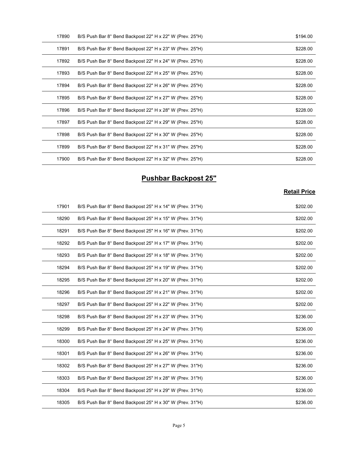| 17890 | B/S Push Bar 8° Bend Backpost 22" H x 22" W (Prev. 25"H) | \$194.00            |
|-------|----------------------------------------------------------|---------------------|
| 17891 | B/S Push Bar 8° Bend Backpost 22" H x 23" W (Prev. 25"H) | \$228.00            |
| 17892 | B/S Push Bar 8° Bend Backpost 22" H x 24" W (Prev. 25"H) | \$228.00            |
| 17893 | B/S Push Bar 8° Bend Backpost 22" H x 25" W (Prev. 25"H) | \$228.00            |
| 17894 | B/S Push Bar 8° Bend Backpost 22" H x 26" W (Prev. 25"H) | \$228.00            |
| 17895 | B/S Push Bar 8° Bend Backpost 22" H x 27" W (Prev. 25"H) | \$228.00            |
| 17896 | B/S Push Bar 8° Bend Backpost 22" H x 28" W (Prev. 25"H) | \$228.00            |
| 17897 | B/S Push Bar 8° Bend Backpost 22" H x 29" W (Prev. 25"H) | \$228.00            |
| 17898 | B/S Push Bar 8° Bend Backpost 22" H x 30" W (Prev. 25"H) | \$228.00            |
| 17899 | B/S Push Bar 8° Bend Backpost 22" H x 31" W (Prev. 25"H) | \$228.00            |
| 17900 | B/S Push Bar 8° Bend Backpost 22" H x 32" W (Prev. 25"H) | \$228.00            |
|       | <b>Pushbar Backpost 25"</b>                              |                     |
|       |                                                          | <b>Retail Price</b> |
| 17901 | B/S Push Bar 8° Bend Backpost 25" H x 14" W (Prev. 31"H) | \$202.00            |
| 18290 | B/S Push Bar 8° Bend Backpost 25" H x 15" W (Prev. 31"H) | \$202.00            |
| 18291 | B/S Push Bar 8° Bend Backpost 25" H x 16" W (Prev. 31"H) | \$202.00            |
| 18292 | B/S Push Bar 8° Bend Backpost 25" H x 17" W (Prev. 31"H) | \$202.00            |
| 18293 | B/S Push Bar 8° Bend Backpost 25" H x 18" W (Prev. 31"H) | \$202.00            |
|       |                                                          |                     |

# Pushbar Backpost 25"

| 17895 | B/S Push Bar 8° Bend Backpost 22" H x 27" W (Prev. 25"H) | \$228.00            |
|-------|----------------------------------------------------------|---------------------|
| 17896 | B/S Push Bar 8° Bend Backpost 22" H x 28" W (Prev. 25"H) | \$228.00            |
| 17897 | B/S Push Bar 8° Bend Backpost 22" H x 29" W (Prev. 25"H) | \$228.00            |
| 17898 | B/S Push Bar 8° Bend Backpost 22" H x 30" W (Prev. 25"H) | \$228.00            |
| 17899 | B/S Push Bar 8° Bend Backpost 22" H x 31" W (Prev. 25"H) | \$228.00            |
| 17900 | B/S Push Bar 8° Bend Backpost 22" H x 32" W (Prev. 25"H) | \$228.00            |
|       |                                                          |                     |
|       | <b>Pushbar Backpost 25"</b>                              |                     |
|       |                                                          | <b>Retail Price</b> |
| 17901 | B/S Push Bar 8° Bend Backpost 25" H x 14" W (Prev. 31"H) | \$202.00            |
| 18290 | B/S Push Bar 8° Bend Backpost 25" H x 15" W (Prev. 31"H) | \$202.00            |
| 18291 | B/S Push Bar 8° Bend Backpost 25" H x 16" W (Prev. 31"H) | \$202.00            |
| 18292 | B/S Push Bar 8° Bend Backpost 25" H x 17" W (Prev. 31"H) | \$202.00            |
| 18293 | B/S Push Bar 8° Bend Backpost 25" H x 18" W (Prev. 31"H) | \$202.00            |
| 18294 | B/S Push Bar 8° Bend Backpost 25" H x 19" W (Prev. 31"H) | \$202.00            |
| 18295 | B/S Push Bar 8° Bend Backpost 25" H x 20" W (Prev. 31"H) | \$202.00            |
| 18296 | B/S Push Bar 8° Bend Backpost 25" H x 21" W (Prev. 31"H) | \$202.00            |
| 18297 | B/S Push Bar 8° Bend Backpost 25" H x 22" W (Prev. 31"H) | \$202.00            |
| 18298 | B/S Push Bar 8° Bend Backpost 25" H x 23" W (Prev. 31"H) | \$236.00            |
| 18299 | B/S Push Bar 8° Bend Backpost 25" H x 24" W (Prev. 31"H) | \$236.00            |
| 18300 | B/S Push Bar 8° Bend Backpost 25" H x 25" W (Prev. 31"H) | \$236.00            |
| 18301 | B/S Push Bar 8° Bend Backpost 25" H x 26" W (Prev. 31"H) | \$236.00            |
| 18302 | B/S Push Bar 8° Bend Backpost 25" H x 27" W (Prev. 31"H) | \$236.00            |
| 18303 | B/S Push Bar 8° Bend Backpost 25" H x 28" W (Prev. 31"H) | \$236.00            |
| 18304 | B/S Push Bar 8° Bend Backpost 25" H x 29" W (Prev. 31"H) | \$236.00            |
| 18305 | B/S Push Bar 8° Bend Backpost 25" H x 30" W (Prev. 31"H) | \$236.00            |
|       |                                                          |                     |
|       | Page 5                                                   |                     |
|       |                                                          |                     |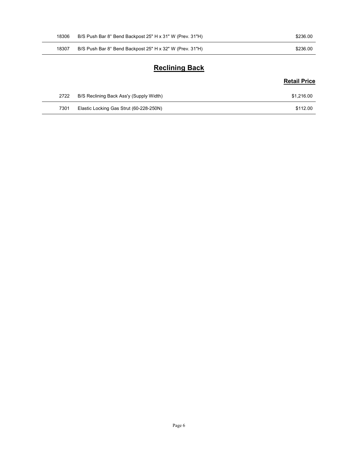| 18306 | B/S Push Bar 8° Bend Backpost 25" H x 31" W (Prev. 31"H) | \$236.00            |
|-------|----------------------------------------------------------|---------------------|
| 18307 | B/S Push Bar 8° Bend Backpost 25" H x 32" W (Prev. 31"H) | \$236.00            |
|       | <b>Reclining Back</b>                                    |                     |
|       |                                                          | <b>Retail Price</b> |

# Reclining Back

# Retail Price

| 18306 | B/S Push Bar 8° Bend Backpost 25" H x 31" W (Prev. 31"H) | \$236.00            |
|-------|----------------------------------------------------------|---------------------|
| 18307 | B/S Push Bar 8° Bend Backpost 25" H x 32" W (Prev. 31"H) | \$236.00            |
|       | <b>Reclining Back</b>                                    |                     |
|       |                                                          | <b>Retail Price</b> |
| 2722  | B/S Reclining Back Ass'y (Supply Width)                  | \$1,216.00          |
| 7301  | Elastic Locking Gas Strut (60-228-250N)                  | \$112.00            |
|       |                                                          |                     |
|       |                                                          |                     |
|       |                                                          |                     |

 $\sim$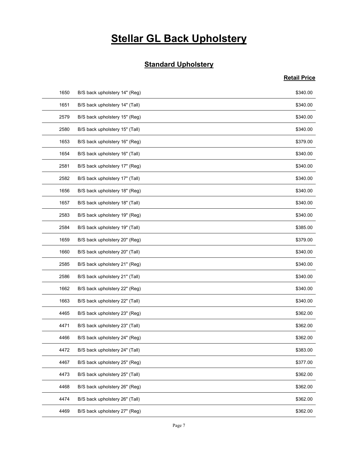# **Stellar GL Back Upholstery**

# **Standard Upholstery**

|      | <b>Stellar GL Back Upholstery</b> |                     |
|------|-----------------------------------|---------------------|
|      |                                   |                     |
|      |                                   |                     |
|      | <b>Standard Upholstery</b>        |                     |
|      |                                   | <b>Retail Price</b> |
| 1650 | B/S back upholstery 14" (Reg)     | \$340.00            |
| 1651 | B/S back upholstery 14" (Tall)    | \$340.00            |
| 2579 | B/S back upholstery 15" (Reg)     | \$340.00            |
| 2580 | B/S back upholstery 15" (Tall)    | \$340.00            |
| 1653 | B/S back upholstery 16" (Reg)     | \$379.00            |
| 1654 | B/S back upholstery 16" (Tall)    | \$340.00            |
| 2581 | B/S back upholstery 17" (Reg)     | \$340.00            |
| 2582 | B/S back upholstery 17" (Tall)    | \$340.00            |
| 1656 | B/S back upholstery 18" (Reg)     | \$340.00            |
| 1657 | B/S back upholstery 18" (Tall)    | \$340.00            |
| 2583 | B/S back upholstery 19" (Reg)     | \$340.00            |
| 2584 | B/S back upholstery 19" (Tall)    | \$385.00            |
| 1659 | B/S back upholstery 20" (Reg)     | \$379.00            |
| 1660 | B/S back upholstery 20" (Tall)    | \$340.00            |
| 2585 | B/S back upholstery 21" (Reg)     | \$340.00            |
| 2586 | B/S back upholstery 21" (Tall)    | \$340.00            |
| 1662 | B/S back upholstery 22" (Reg)     | \$340.00            |
| 1663 | B/S back upholstery 22" (Tall)    | \$340.00            |
| 4465 | B/S back upholstery 23" (Reg)     | \$362.00            |
| 4471 | B/S back upholstery 23" (Tall)    | \$362.00            |
| 4466 | B/S back upholstery 24" (Reg)     | \$362.00            |
| 4472 | B/S back upholstery 24" (Tall)    | \$383.00            |
| 4467 | B/S back upholstery 25" (Reg)     | \$377.00            |
| 4473 | B/S back upholstery 25" (Tall)    | \$362.00            |
| 4468 | B/S back upholstery 26" (Reg)     | \$362.00            |
| 4474 | B/S back upholstery 26" (Tall)    | \$362.00            |
| 4469 | B/S back upholstery 27" (Reg)     | \$362.00            |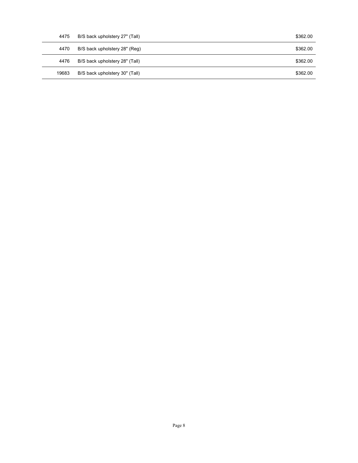| 4475  | B/S back upholstery 27" (Tall) | \$362.00 |
|-------|--------------------------------|----------|
| 4470  | B/S back upholstery 28" (Reg)  | \$362.00 |
| 4476  | B/S back upholstery 28" (Tall) | \$362.00 |
| 19683 | B/S back upholstery 30" (Tall) | \$362.00 |
|       |                                |          |
|       |                                |          |
|       |                                |          |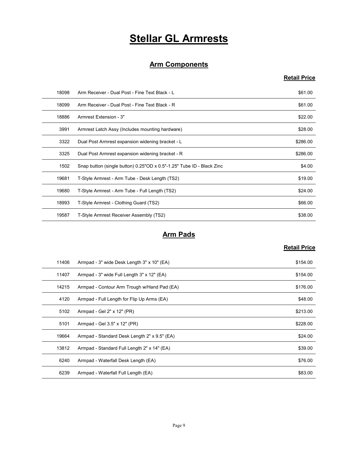# Stellar GL Armrests

# Arm Components

# Retail Price

|       | <b>Stellar GL Armrests</b>                                            |                     |
|-------|-----------------------------------------------------------------------|---------------------|
|       |                                                                       |                     |
|       | <b>Arm Components</b>                                                 |                     |
|       |                                                                       | <b>Retail Price</b> |
| 18098 | Arm Receiver - Dual Post - Fine Text Black - L                        | \$61.00             |
| 18099 | Arm Receiver - Dual Post - Fine Text Black - R                        | \$61.00             |
| 18886 | Armrest Extension - 3"                                                | \$22.00             |
| 3991  | Armrest Latch Assy (Includes mounting hardware)                       | \$28.00             |
| 3322  | Dual Post Armrest expansion widening bracket - L                      | \$286.00            |
| 3325  | Dual Post Armrest expansion widening bracket - R                      | \$286.00            |
| 1502  | Snap button (single button) 0.25"OD x 0.5"-1.25" Tube ID - Black Zinc | \$4.00              |
| 19681 | T-Style Armrest - Arm Tube - Desk Length (TS2)                        | \$19.00             |
| 19680 | T-Style Armrest - Arm Tube - Full Length (TS2)                        | \$24.00             |
| 18993 | T-Style Armrest - Clothing Guard (TS2)                                | \$66.00             |
| 19587 | T-Style Armrest Receiver Assembly (TS2)                               | \$38.00             |
|       | <b>Arm Pads</b>                                                       |                     |
|       |                                                                       | <b>Retail Price</b> |
| 11406 | Armpad - 3" wide Desk Length 3" x 10" (EA)                            | \$154.00            |
| 11407 | Armpad - 3" wide Full Length 3" x 12" (EA)                            | \$154.00            |
| 14215 | Armpad - Contour Arm Trough w/Hand Pad (EA)                           | \$176.00            |
| 4120  | Armpad - Full Length for Flip Up Arms (EA)                            | \$48.00             |
| 5102  | Armpad - Gel 2" x 12" (PR)                                            | \$213.00            |
| 5101  | Armnad - Gel 3 5" x 12" (PR)                                          | \$228.00            |

# Arm Pads

| 3325  | Dual Post Armrest expansion widening bracket - R                      | \$286.00            |
|-------|-----------------------------------------------------------------------|---------------------|
| 1502  | Snap button (single button) 0.25"OD x 0.5"-1.25" Tube ID - Black Zinc | \$4.00              |
| 19681 | T-Style Armrest - Arm Tube - Desk Length (TS2)                        | \$19.00             |
| 19680 | T-Style Armrest - Arm Tube - Full Length (TS2)                        | \$24.00             |
| 18993 | T-Style Armrest - Clothing Guard (TS2)                                | \$66.00             |
| 19587 | T-Style Armrest Receiver Assembly (TS2)                               | \$38.00             |
|       |                                                                       |                     |
|       | <b>Arm Pads</b>                                                       |                     |
|       |                                                                       | <b>Retail Price</b> |
| 11406 | Armpad - 3" wide Desk Length 3" x 10" (EA)                            | \$154.00            |
| 11407 | Armpad - 3" wide Full Length 3" x 12" (EA)                            | \$154.00            |
| 14215 | Armpad - Contour Arm Trough w/Hand Pad (EA)                           | \$176.00            |
| 4120  | Armpad - Full Length for Flip Up Arms (EA)                            | \$48.00             |
| 5102  | Armpad - Gel 2" x 12" (PR)                                            | \$213.00            |
| 5101  | Armpad - Gel 3.5" x 12" (PR)                                          | \$228.00            |
| 19664 | Armpad - Standard Desk Length 2" x 9.5" (EA)                          | \$24.00             |
| 13812 | Armpad - Standard Full Length 2" x 14" (EA)                           | \$39.00             |
| 6240  | Armpad - Waterfall Desk Length (EA)                                   | \$76.00             |
| 6239  | Armpad - Waterfall Full Length (EA)                                   | \$83.00             |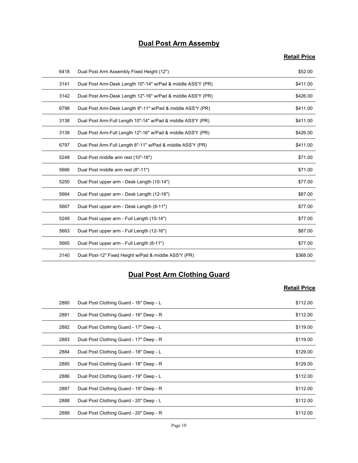# Dual Post Arm Assemby

# Retail Price

|      | <b>Dual Post Arm Assemby</b>                                |                     |
|------|-------------------------------------------------------------|---------------------|
|      |                                                             | <b>Retail Price</b> |
|      |                                                             |                     |
| 6418 | Dual Post Arm Assembly Fixed Height (12")                   | \$52.00             |
| 3141 | Dual Post Arm-Desk Length 10"-14" w/Pad & middle ASS'Y (PR) | \$411.00            |
| 3142 | Dual Post Arm-Desk Length 12"-16" w/Pad & middle ASS'Y (PR) | \$426.00            |
| 6798 | Dual Post Arm-Desk Length 8"-11" w/Pad & middle ASS'Y (PR)  | \$411.00            |
| 3138 | Dual Post Arm-Full Length 10"-14" w/Pad & middle ASS'Y (PR) | \$411.00            |
| 3139 | Dual Post Arm-Full Length 12"-16" w/Pad & middle ASS'Y (PR) | \$426.00            |
| 6797 | Dual Post Arm-Full Length 8"-11" w/Pad & middle ASS'Y (PR)  | \$411.00            |
| 5248 | Dual Post middle arm rest (10"-16")                         | \$71.00             |
| 5666 | Dual Post middle arm rest (8"-11")                          | \$71.00             |
| 5250 | Dual Post upper arm - Desk Length (10-14")                  | \$77.00             |
| 5664 | Dual Post upper arm - Desk Length (12-16")                  | \$87.00             |
| 5667 | Dual Post upper arm - Desk Length (8-11")                   | \$77.00             |
| 5249 | Dual Post upper arm - Full Length (10-14")                  | \$77.00             |
| 5663 | Dual Post upper arm - Full Length (12-16")                  | \$87.00             |
| 5665 | Dual Post upper arm - Full Length (8-11")                   | \$77.00             |
| 3140 | Dual Post-12" Fixed Height w/Pad & middle ASS'Y (PR)        | \$368.00            |
|      | <b>Dual Post Arm Clothing Guard</b>                         |                     |
|      |                                                             | <b>Retail Price</b> |
| 2880 | Dual Post Clothing Guard - 16" Deep - L                     | \$112.00            |
| 2881 | Dual Post Clothing Guard - 16" Deep - R                     | \$112.00            |
| 2882 | Dual Post Clothing Guard - 17" Deep - L                     | \$119.00            |
| 2883 | Dual Post Clothing Guard - 17" Deep - R                     | \$119.00            |
| 2884 | Dual Post Clothing Guard - 18" Deep - L                     | \$129.00            |
| 2885 | Dual Post Clothing Guard - 18" Deep - R                     | \$12900             |

# Dual Post Arm Clothing Guard

| 5664 | Dual Post upper arm - Desk Length (12-16")           | \$87.00             |
|------|------------------------------------------------------|---------------------|
| 5667 | Dual Post upper arm - Desk Length (8-11")            | \$77.00             |
| 5249 | Dual Post upper arm - Full Length (10-14")           | \$77.00             |
| 5663 | Dual Post upper arm - Full Length (12-16")           | \$87.00             |
| 5665 | Dual Post upper arm - Full Length (8-11")            | \$77.00             |
| 3140 | Dual Post-12" Fixed Height w/Pad & middle ASS'Y (PR) | \$368.00            |
|      | <b>Dual Post Arm Clothing Guard</b>                  | <b>Retail Price</b> |
| 2880 | Dual Post Clothing Guard - 16" Deep - L              | \$112.00            |
| 2881 | Dual Post Clothing Guard - 16" Deep - R              | \$112.00            |
| 2882 | Dual Post Clothing Guard - 17" Deep - L              | \$119.00            |
| 2883 | Dual Post Clothing Guard - 17" Deep - R              | \$119.00            |
| 2884 | Dual Post Clothing Guard - 18" Deep - L              | \$129.00            |
| 2885 | Dual Post Clothing Guard - 18" Deep - R              | \$129.00            |
| 2886 | Dual Post Clothing Guard - 19" Deep - L              | \$112.00            |
| 2887 | Dual Post Clothing Guard - 19" Deep - R              | \$112.00            |
| 2888 | Dual Post Clothing Guard - 20" Deep - L              | \$112.00            |
| 2889 | Dual Post Clothing Guard - 20" Deep - R              | \$112.00            |
|      | Page 10                                              |                     |
|      |                                                      |                     |
|      |                                                      |                     |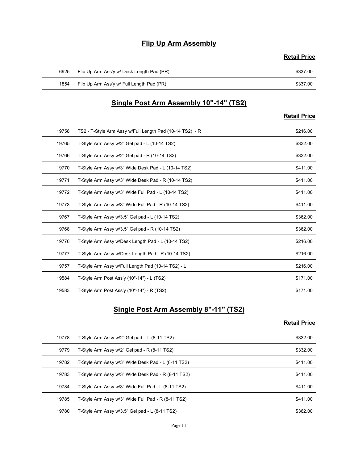# Flip Up Arm Assembly

|      | <b>Flip Up Arm Assembly</b>               | <b>Retail Price</b> |
|------|-------------------------------------------|---------------------|
| 6925 | Flip Up Arm Ass'y w/ Desk Length Pad (PR) | \$337.00            |
| 1854 | Flip Up Arm Ass'y w/ Full Length Pad (PR) | \$337.00            |
|      |                                           |                     |
|      | Single Post Arm Assembly 10"-14" (TS2)    | <b>Retail Price</b> |

# Single Post Arm Assembly 10"-14" (TS2)

# Retail Price

|       | <b>Flip Up Arm Assembly</b>                              |                     |
|-------|----------------------------------------------------------|---------------------|
|       |                                                          | <b>Retail Price</b> |
| 6925  | Flip Up Arm Ass'y w/ Desk Length Pad (PR)                | \$337.00            |
| 1854  | Flip Up Arm Ass'y w/ Full Length Pad (PR)                | \$337.00            |
|       |                                                          |                     |
|       | Single Post Arm Assembly 10"-14" (TS2)                   |                     |
|       |                                                          | <b>Retail Price</b> |
| 19758 | TS2 - T-Style Arm Assy w/Full Length Pad (10-14 TS2) - R | \$216.00            |
| 19765 | T-Style Arm Assy w/2" Gel pad - L (10-14 TS2)            | \$332.00            |
| 19766 | T-Style Arm Assy w/2" Gel pad - R (10-14 TS2)            | \$332.00            |
| 19770 | T-Style Arm Assy w/3" Wide Desk Pad - L (10-14 TS2)      | \$411.00            |
| 19771 | T-Style Arm Assy w/3" Wide Desk Pad - R (10-14 TS2)      | \$411.00            |
| 19772 | T-Style Arm Assy w/3" Wide Full Pad - L (10-14 TS2)      | \$411.00            |
| 19773 | T-Style Arm Assy w/3" Wide Full Pad - R (10-14 TS2)      | \$411.00            |
| 19767 | T-Style Arm Assy w/3.5" Gel pad - L (10-14 TS2)          | \$362.00            |
| 19768 | T-Style Arm Assy w/3.5" Gel pad - R (10-14 TS2)          | \$362.00            |
| 19776 | T-Style Arm Assy w/Desk Length Pad - L (10-14 TS2)       | \$216.00            |
| 19777 | T-Style Arm Assy w/Desk Length Pad - R (10-14 TS2)       | \$216.00            |
| 19757 | T-Style Arm Assy w/Full Length Pad (10-14 TS2) - L       | \$216.00            |
| 19584 | T-Style Arm Post Ass'y (10"-14") - L (TS2)               | \$171.00            |
| 19583 | T-Style Arm Post Ass'y (10"-14") - R (TS2)               | \$171.00            |
|       | <b>Single Post Arm Assembly 8"-11" (TS2)</b>             |                     |
|       |                                                          | <b>Retail Price</b> |
| 19778 | T-Style Arm Assy w/2" Gel pad - L (8-11 TS2)             | \$332.00            |
| 19779 | T-Style Arm Assy w/2" Gel pad - R (8-11 TS2)             | \$332.00            |
| 19782 | T-Style Arm Assy w/3" Wide Desk Pad - L (8-11 TS2)       | \$411.00            |
| 19783 | T-Style Arm Assy w/3" Wide Desk Pad - R (8-11 TS2)       | \$411.00            |
| 19784 | T-Style Arm Assy w/3" Wide Full Pad - L (8-11 TS2)       | \$411.00            |
| 19785 | T-Style Arm Assy w/3" Wide Full Pad - R (8-11 TS2)       | \$411.00            |

# Single Post Arm Assembly 8"-11" (TS2)

| 19768 | T-Style Arm Assy w/3.5" Gel pad - R (10-14 TS2)    | \$362.00            |
|-------|----------------------------------------------------|---------------------|
| 19776 | T-Style Arm Assy w/Desk Length Pad - L (10-14 TS2) | \$216.00            |
| 19777 | T-Style Arm Assy w/Desk Length Pad - R (10-14 TS2) | \$216.00            |
| 19757 | T-Style Arm Assy w/Full Length Pad (10-14 TS2) - L | \$216.00            |
| 19584 | T-Style Arm Post Ass'y (10"-14") - L (TS2)         | \$171.00            |
| 19583 | T-Style Arm Post Ass'y (10"-14") - R (TS2)         | \$171.00            |
|       | Single Post Arm Assembly 8"-11" (TS2)              | <b>Retail Price</b> |
| 19778 | T-Style Arm Assy w/2" Gel pad - L (8-11 TS2)       | \$332.00            |
| 19779 | T-Style Arm Assy w/2" Gel pad - R (8-11 TS2)       | \$332.00            |
| 19782 | T-Style Arm Assy w/3" Wide Desk Pad - L (8-11 TS2) | \$411.00            |
| 19783 | T-Style Arm Assy w/3" Wide Desk Pad - R (8-11 TS2) | \$411.00            |
| 19784 | T-Style Arm Assy w/3" Wide Full Pad - L (8-11 TS2) | \$411.00            |
| 19785 | T-Style Arm Assy w/3" Wide Full Pad - R (8-11 TS2) | \$411.00            |
| 19780 | T-Style Arm Assy w/3.5" Gel pad - L (8-11 TS2)     | \$362.00            |
|       | Page 11                                            |                     |
|       |                                                    |                     |
|       |                                                    |                     |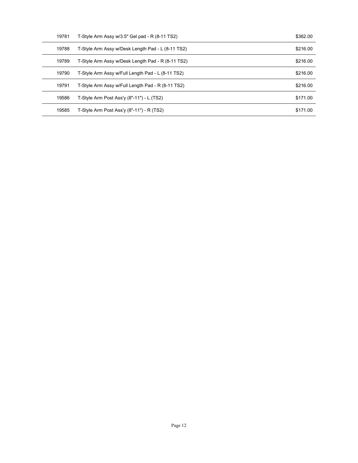| 19781 | T-Style Arm Assy w/3.5" Gel pad - R (8-11 TS2)    | \$362.00 |
|-------|---------------------------------------------------|----------|
| 19788 | T-Style Arm Assy w/Desk Length Pad - L (8-11 TS2) | \$216.00 |
| 19789 | T-Style Arm Assy w/Desk Length Pad - R (8-11 TS2) | \$216.00 |
| 19790 | T-Style Arm Assy w/Full Length Pad - L (8-11 TS2) | \$216.00 |
| 19791 | T-Style Arm Assy w/Full Length Pad - R (8-11 TS2) | \$216.00 |
| 19586 | T-Style Arm Post Ass'y (8"-11") - L (TS2)         | \$171.00 |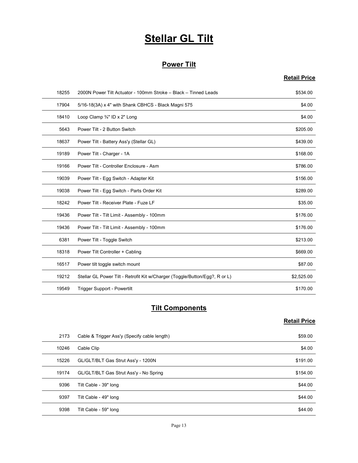# **Stellar GL Tilt**

# Power Tilt

# Retail Price

|       | <b>Stellar GL Tilt</b>                                                      |                     |
|-------|-----------------------------------------------------------------------------|---------------------|
|       |                                                                             |                     |
|       | <b>Power Tilt</b>                                                           |                     |
|       |                                                                             | <b>Retail Price</b> |
| 18255 | 2000N Power Tilt Actuator - 100mm Stroke - Black - Tinned Leads             | \$534.00            |
| 17904 | 5/16-18(3A) x 4" with Shank CBHCS - Black Magni 575                         | \$4.00              |
| 18410 | Loop Clamp 3/4" ID x 2" Long                                                | \$4.00              |
| 5643  | Power Tilt - 2 Button Switch                                                | \$205.00            |
| 18637 | Power Tilt - Battery Ass'y (Stellar GL)                                     | \$439.00            |
| 19189 | Power Tilt - Charger - 1A                                                   | \$168.00            |
| 19166 | Power Tilt - Controller Enclosure - Asm                                     | \$786.00            |
| 19039 | Power Tilt - Egg Switch - Adapter Kit                                       | \$156.00            |
| 19038 | Power Tilt - Egg Switch - Parts Order Kit                                   | \$289.00            |
| 18242 | Power Tilt - Receiver Plate - Fuze LF                                       | \$35.00             |
| 19436 | Power Tilt - Tilt Limit - Assembly - 100mm                                  | \$176.00            |
| 19436 | Power Tilt - Tilt Limit - Assembly - 100mm                                  | \$176.00            |
| 6381  | Power Tilt - Toggle Switch                                                  | \$213.00            |
| 18318 | Power Tilt Controller + Cabling                                             | \$669.00            |
| 16517 | Power tilt toggle switch mount                                              | \$87.00             |
| 19212 | Stellar GL Power Tilt - Retrofit Kit w/Charger (Toggle/Button/Egg?, R or L) | \$2,525.00          |
| 19549 | Trigger Support - Powertilt                                                 | \$170.00            |
|       | <b>Tilt Components</b>                                                      |                     |
|       |                                                                             | <b>Retail Price</b> |
| 2173  | Cable & Trigger Ass'y (Specify cable length)                                | \$59.00             |
| 10246 | Cable Clip                                                                  | \$4.00              |
| 15226 | GL/GLT/BLT Gas Strut Ass'y - 1200N                                          | \$191.00            |
| 19174 | GL/GLT/BLT Gas Strut Ass'y - No Spring                                      | \$154.00            |
| 9396  | Tilt Cable - 39" long                                                       | \$44.00             |
| 9397  | Tilt Cable - 49" Iong                                                       | \$44.00             |

# **Tilt Components**

| 19436 | Power Tilt - Tilt Limit - Assembly - 100mm                                  | \$176.00            |
|-------|-----------------------------------------------------------------------------|---------------------|
| 6381  | Power Tilt - Toggle Switch                                                  | \$213.00            |
| 18318 | Power Tilt Controller + Cabling                                             | \$669.00            |
| 16517 | Power tilt toggle switch mount                                              | \$87.00             |
| 19212 | Stellar GL Power Tilt - Retrofit Kit w/Charger (Toggle/Button/Egg?, R or L) | \$2,525.00          |
| 19549 | Trigger Support - Powertilt                                                 | \$170.00            |
|       | <b>Tilt Components</b>                                                      |                     |
|       |                                                                             | <b>Retail Price</b> |
| 2173  | Cable & Trigger Ass'y (Specify cable length)                                | \$59.00             |
| 10246 | Cable Clip                                                                  | \$4.00              |
| 15226 | GL/GLT/BLT Gas Strut Ass'y - 1200N                                          | \$191.00            |
| 19174 | GL/GLT/BLT Gas Strut Ass'y - No Spring                                      | \$154.00            |
| 9396  | Tilt Cable - 39" long                                                       | \$44.00             |
| 9397  | Tilt Cable - 49" long                                                       | \$44.00             |
| 9398  | Tilt Cable - 59" long                                                       | \$44.00             |
|       | Page 13                                                                     |                     |
|       |                                                                             |                     |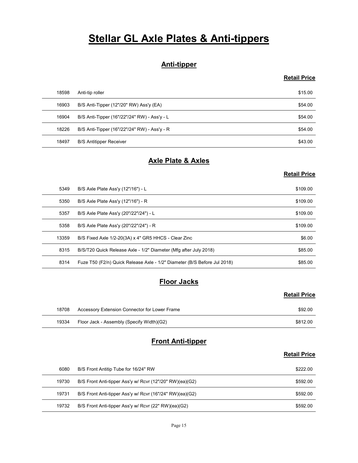# **Stellar GL Axle Plates & Anti-tippers**

# Anti-tipper

# Retail Price

|       | <b>Stellar GL Axle Plates &amp; Anti-tippers</b>                         |                     |
|-------|--------------------------------------------------------------------------|---------------------|
|       | <b>Anti-tipper</b>                                                       |                     |
|       |                                                                          | <b>Retail Price</b> |
| 18598 | Anti-tip roller                                                          | \$15.00             |
| 16903 | B/S Anti-Tipper (12"/20" RW) Ass'y (EA)                                  | \$54.00             |
| 16904 | B/S Anti-Tipper (16"/22"/24" RW) - Ass'y - L                             | \$54.00             |
| 18226 | B/S Anti-Tipper (16"/22"/24" RW) - Ass'y - R                             | \$54.00             |
| 18497 | <b>B/S Antitipper Receiver</b>                                           | \$43.00             |
|       | <b>Axle Plate &amp; Axles</b>                                            |                     |
|       |                                                                          | <b>Retail Price</b> |
| 5349  | B/S Axle Plate Ass'y (12"/16") - L                                       | \$109.00            |
| 5350  | B/S Axle Plate Ass'y (12"/16") - R                                       | \$109.00            |
| 5357  | B/S Axle Plate Ass'y (20"/22"/24") - L                                   | \$109.00            |
| 5358  | B/S Axle Plate Ass'y (20"/22"/24") - R                                   | \$109.00            |
| 13350 | $R/S$ Fived $\Delta y \ln 1/2 - 20(3\Delta) y 4$ " GR5 HHCS - Clear Zinc | \$6.00              |

# Axle Plate & Axles

# Retail Price

|       | <b>Anti-tipper</b>                                                       |                     |
|-------|--------------------------------------------------------------------------|---------------------|
|       |                                                                          | <b>Retail Price</b> |
| 18598 | Anti-tip roller                                                          | \$15.00             |
| 16903 | B/S Anti-Tipper (12"/20" RW) Ass'y (EA)                                  | \$54.00             |
| 16904 | B/S Anti-Tipper (16"/22"/24" RW) - Ass'y - L                             | \$54.00             |
| 18226 | B/S Anti-Tipper (16"/22"/24" RW) - Ass'y - R                             | \$54.00             |
| 18497 | <b>B/S Antitipper Receiver</b>                                           | \$43.00             |
|       | <b>Axle Plate &amp; Axles</b>                                            |                     |
|       |                                                                          | <b>Retail Price</b> |
| 5349  | B/S Axle Plate Ass'y (12"/16") - L                                       | \$109.00            |
| 5350  | B/S Axle Plate Ass'y (12"/16") - R                                       | \$109.00            |
| 5357  | B/S Axle Plate Ass'y (20"/22"/24") - L                                   | \$109.00            |
| 5358  | B/S Axle Plate Ass'y (20"/22"/24") - R                                   | \$109.00            |
| 13359 | B/S Fixed Axle 1/2-20(3A) x 4" GR5 HHCS - Clear Zinc                     | \$6.00              |
| 8315  | B/S/T20 Quick Release Axle - 1/2" Diameter (Mfg after July 2018)         | \$85.00             |
| 8314  | Fuze T50 (F2/n) Quick Release Axle - 1/2" Diameter (B/S Before Jul 2018) | \$85.00             |
|       | <b>Floor Jacks</b>                                                       |                     |
|       |                                                                          | <b>Retail Price</b> |
| 18708 | Accessory Extension Connector for Lower Frame                            | \$92.00             |
| 19334 | Floor Jack - Assembly (Specify Width)(G2)                                | \$812.00            |
|       | <b>Front Anti-tipper</b>                                                 |                     |
|       |                                                                          | <b>Retail Price</b> |
| 6080  | B/S Front Antitip Tube for 16/24" RW                                     | \$222.00            |
| 19730 | B/S Front Anti-tipper Ass'y w/ Rcvr (12"/20" RW)(ea)(G2)                 | \$592.00            |
| 19731 | B/S Front Anti-tipper Ass'y w/ Rcvr (16"/24" RW)(ea)(G2)                 | \$592.00            |
| 19732 | B/S Front Anti-tinner Ass'y w/ Royr (22" RW)(ea)(G2)                     | \$592.00            |

# **Floor Jacks**

#### Retail Price

| 18708 | Accessory Extension Connector for Lower Frame | \$92.00  |
|-------|-----------------------------------------------|----------|
| 19334 | Floor Jack - Assembly (Specify Width)(G2)     | \$812.00 |

# Front Anti-tipper

|       | . .                                                                      |                     |
|-------|--------------------------------------------------------------------------|---------------------|
| 13359 | B/S Fixed Axle 1/2-20(3A) x 4" GR5 HHCS - Clear Zinc                     | \$6.00              |
| 8315  | B/S/T20 Quick Release Axle - 1/2" Diameter (Mfg after July 2018)         | \$85.00             |
| 8314  | Fuze T50 (F2/n) Quick Release Axle - 1/2" Diameter (B/S Before Jul 2018) | \$85.00             |
|       | <b>Floor Jacks</b>                                                       |                     |
|       |                                                                          | <b>Retail Price</b> |
| 18708 | Accessory Extension Connector for Lower Frame                            | \$92.00             |
| 19334 | Floor Jack - Assembly (Specify Width)(G2)                                | \$812.00            |
|       | <b>Front Anti-tipper</b>                                                 | <b>Retail Price</b> |
| 6080  | B/S Front Antitip Tube for 16/24" RW                                     | \$222.00            |
| 19730 | B/S Front Anti-tipper Ass'y w/ Rcvr (12"/20" RW)(ea)(G2)                 | \$592.00            |
| 19731 | B/S Front Anti-tipper Ass'y w/ Rcvr (16"/24" RW)(ea)(G2)                 | \$592.00            |
| 19732 | B/S Front Anti-tipper Ass'y w/ Rcvr (22" RW)(ea)(G2)                     | \$592.00            |
|       | Page 15                                                                  |                     |
|       |                                                                          |                     |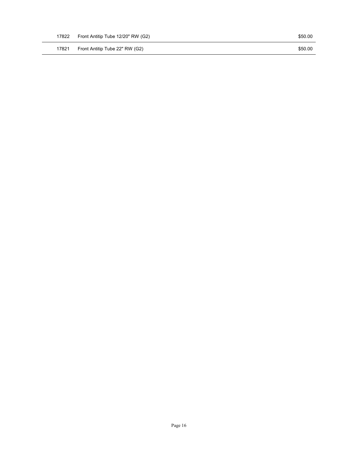Page 16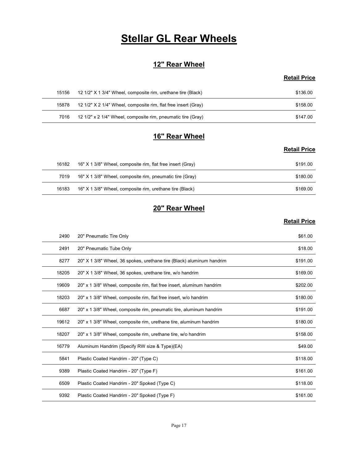# **Stellar GL Rear Wheels**

# 12" Rear Wheel

# Retail Price

|       | <b>Stellar GL Rear Wheels</b>                                  |                     |
|-------|----------------------------------------------------------------|---------------------|
|       |                                                                |                     |
|       | 12" Rear Wheel                                                 |                     |
|       |                                                                | <b>Retail Price</b> |
|       | 12 1/2" X 1 3/4" Wheel, composite rim, urethane tire (Black)   | \$136.00            |
| 15156 |                                                                |                     |
| 15878 | 12 1/2" X 2 1/4" Wheel, composite rim, flat free insert (Gray) | \$158.00            |
| 7016  | 12 1/2" x 2 1/4" Wheel, composite rim, pneumatic tire (Gray)   | \$147.00            |
|       |                                                                |                     |
|       | 16" Rear Wheel                                                 | <b>Retail Price</b> |

# 16" Rear Wheel

# Retail Price

|       | <b>Stellar GL Rear Wheels</b>                                  |                     |
|-------|----------------------------------------------------------------|---------------------|
|       |                                                                |                     |
|       | 12" Rear Wheel                                                 | <b>Retail Price</b> |
| 15156 | 12 1/2" X 1 3/4" Wheel, composite rim, urethane tire (Black)   | \$136.00            |
| 15878 | 12 1/2" X 2 1/4" Wheel, composite rim, flat free insert (Gray) | \$158.00            |
| 7016  | 12 1/2" x 2 1/4" Wheel, composite rim, pneumatic tire (Gray)   | \$147.00            |
|       | 16" Rear Wheel                                                 |                     |
|       |                                                                | <b>Retail Price</b> |
| 16182 | 16" X 1 3/8" Wheel, composite rim, flat free insert (Gray)     | \$191.00            |
| 7019  | 16" X 1 3/8" Wheel, composite rim, pneumatic tire (Gray)       | \$180.00            |
| 16183 | 16" X 1 3/8" Wheel, composite rim, urethane tire (Black)       | \$169.00            |
|       | 20" Rear Wheel                                                 |                     |
|       |                                                                | <b>Retail Price</b> |

# 20" Rear Wheel

| 15156 | 12 1/2" X 1 3/4" Wheel, composite rim, urethane tire (Black)          | \$136.00            |
|-------|-----------------------------------------------------------------------|---------------------|
| 15878 | 12 1/2" X 2 1/4" Wheel, composite rim, flat free insert (Gray)        | \$158.00            |
| 7016  | 12 1/2" x 2 1/4" Wheel, composite rim, pneumatic tire (Gray)          | \$147.00            |
|       |                                                                       |                     |
|       | 16" Rear Wheel                                                        |                     |
|       |                                                                       | <b>Retail Price</b> |
| 16182 | 16" X 1 3/8" Wheel, composite rim, flat free insert (Gray)            | \$191.00            |
| 7019  | 16" X 1 3/8" Wheel, composite rim, pneumatic tire (Gray)              | \$180.00            |
| 16183 | 16" X 1 3/8" Wheel, composite rim, urethane tire (Black)              | \$169.00            |
|       |                                                                       |                     |
|       | 20" Rear Wheel                                                        |                     |
|       |                                                                       | <b>Retail Price</b> |
| 2490  | 20" Pneumatic Tire Only                                               | \$61.00             |
| 2491  | 20" Pneumatic Tube Only                                               | \$18.00             |
| 8277  | 20" X 1 3/8" Wheel, 36 spokes, urethane tire (Black) aluminum handrim | \$191.00            |
| 18205 | 20" X 1 3/8" Wheel, 36 spokes, urethane tire, w/o handrim             | \$169.00            |
| 19609 | 20" x 1 3/8" Wheel, composite rim, flat free insert, aluminum handrim | \$202.00            |
| 18203 | 20" x 1 3/8" Wheel, composite rim, flat free insert, w/o handrim      | \$180.00            |
| 6687  | 20" x 1 3/8" Wheel, composite rim, pneumatic tire, aluminum handrim   | \$191.00            |
| 19612 | 20" x 1 3/8" Wheel, composite rim, urethane tire, aluminum handrim    | \$180.00            |
| 18207 | 20" x 1 3/8" Wheel, composite rim, urethane tire, w/o handrim         | \$158.00            |
| 16779 | Aluminum Handrim (Specify RW size & Type)(EA)                         | \$49.00             |
| 5841  | Plastic Coated Handrim - 20" (Type C)                                 | \$118.00            |
| 9389  | Plastic Coated Handrim - 20" (Type F)                                 | \$161.00            |
| 6509  | Plastic Coated Handrim - 20" Spoked (Type C)                          | \$118.00            |
| 9392  | Plastic Coated Handrim - 20" Spoked (Type F)                          | \$161.00            |
|       |                                                                       |                     |
|       |                                                                       |                     |
|       | Page 17                                                               |                     |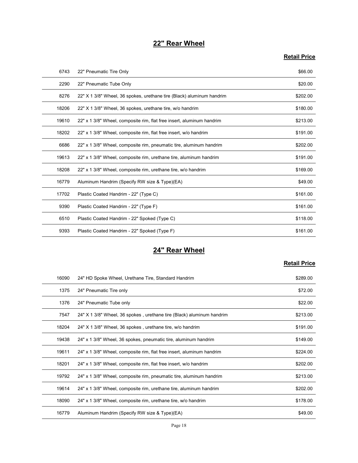# 22" Rear Wheel

# Retail Price

|       | 22" Rear Wheel                                                        |                     |
|-------|-----------------------------------------------------------------------|---------------------|
|       |                                                                       | <b>Retail Price</b> |
| 6743  | 22" Pneumatic Tire Only                                               | \$66.00             |
| 2290  | 22" Pneumatic Tube Only                                               | \$20.00             |
| 8276  | 22" X 1 3/8" Wheel, 36 spokes, urethane tire (Black) aluminum handrim | \$202.00            |
| 18206 | 22" X 1 3/8" Wheel, 36 spokes, urethane tire, w/o handrim             | \$180.00            |
| 19610 | 22" x 1 3/8" Wheel, composite rim, flat free insert, aluminum handrim | \$213.00            |
| 18202 | 22" x 1 3/8" Wheel, composite rim, flat free insert, w/o handrim      | \$191.00            |
| 6686  | 22" x 1 3/8" Wheel, composite rim, pneumatic tire, aluminum handrim   | \$202.00            |
| 19613 | 22" x 1 3/8" Wheel, composite rim, urethane tire, aluminum handrim    | \$191.00            |
| 18208 | 22" x 1 3/8" Wheel, composite rim, urethane tire, w/o handrim         | \$169.00            |
| 16779 | Aluminum Handrim (Specify RW size & Type)(EA)                         | \$49.00             |
| 17702 | Plastic Coated Handrim - 22" (Type C)                                 | \$161.00            |
| 9390  | Plastic Coated Handrim - 22" (Type F)                                 | \$161.00            |
| 6510  | Plastic Coated Handrim - 22" Spoked (Type C)                          | \$118.00            |
| 9393  | Plastic Coated Handrim - 22" Spoked (Type F)                          | \$161.00            |
|       | 24" Rear Wheel                                                        |                     |
|       |                                                                       | <b>Retail Price</b> |
| 16090 | 24" HD Spoke Wheel, Urethane Tire, Standard Handrim                   | \$289.00            |
| 1375  | 24" Pneumatic Tire only                                               | \$72.00             |
| 1376  | 24" Pneumatic Tube only                                               | \$22.00             |
| 7547  | 24" X 1 3/8" Wheel, 36 spokes, urethane tire (Black) aluminum handrim | \$213.00            |
| 18204 | 24" X 1 3/8" Wheel, 36 spokes, urethane tire, w/o handrim             | \$191.00            |
| 19438 | 24" x 1.3/8" Wheel 36 snokes pneumatic tire aluminum handrim          | \$149.00            |

# 24" Rear Wheel

| 18208 | 22" x 1 3/8" Wheel, composite rim, urethane tire, w/o handrim         | \$169.00            |
|-------|-----------------------------------------------------------------------|---------------------|
| 16779 | Aluminum Handrim (Specify RW size & Type)(EA)                         | \$49.00             |
| 17702 | Plastic Coated Handrim - 22" (Type C)                                 | \$161.00            |
| 9390  | Plastic Coated Handrim - 22" (Type F)                                 | \$161.00            |
| 6510  | Plastic Coated Handrim - 22" Spoked (Type C)                          | \$118.00            |
| 9393  | Plastic Coated Handrim - 22" Spoked (Type F)                          | \$161.00            |
|       | 24" Rear Wheel                                                        | <b>Retail Price</b> |
| 16090 | 24" HD Spoke Wheel, Urethane Tire, Standard Handrim                   | \$289.00            |
| 1375  | 24" Pneumatic Tire only                                               | \$72.00             |
| 1376  | 24" Pneumatic Tube only                                               | \$22.00             |
| 7547  | 24" X 1 3/8" Wheel, 36 spokes, urethane tire (Black) aluminum handrim | \$213.00            |
| 18204 | 24" X 1 3/8" Wheel, 36 spokes, urethane tire, w/o handrim             | \$191.00            |
| 19438 | 24" x 1 3/8" Wheel, 36 spokes, pneumatic tire, aluminum handrim       | \$149.00            |
| 19611 | 24" x 1 3/8" Wheel, composite rim, flat free insert, aluminum handrim | \$224.00            |
| 18201 | 24" x 1 3/8" Wheel, composite rim, flat free insert, w/o handrim      | \$202.00            |
| 19792 | 24" x 1 3/8" Wheel, composite rim, pneumatic tire, aluminum handrim   | \$213.00            |
| 19614 | 24" x 1 3/8" Wheel, composite rim, urethane tire, aluminum handrim    | \$202.00            |
| 18090 | 24" x 1 3/8" Wheel, composite rim, urethane tire, w/o handrim         | \$178.00            |
| 16779 | Aluminum Handrim (Specify RW size & Type)(EA)                         | \$49.00             |
|       | Page 18                                                               |                     |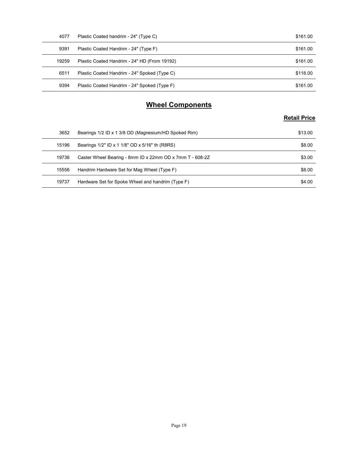| 4077  | Plastic Coated handrim - 24" (Type C)                    | \$161.00            |
|-------|----------------------------------------------------------|---------------------|
| 9391  | Plastic Coated Handrim - 24" (Type F)                    | \$161.00            |
| 19259 | Plastic Coated Handrim - 24" HD (From 19192)             | \$161.00            |
| 6511  | Plastic Coated Handrim - 24" Spoked (Type C)             | \$118.00            |
| 9394  | Plastic Coated Handrim - 24" Spoked (Type F)             | \$161.00            |
|       | <b>Wheel Components</b>                                  |                     |
|       |                                                          | <b>Retail Price</b> |
| 3652  | Bearings 1/2 ID x 1 3/8 OD (Magnesium/HD Spoked Rim)     | \$13.00             |
| 15196 | Bearings 1/2" ID x 1 1/8" OD x 5/16" th (R8RS)           | \$8.00              |
| 19736 | Caster Wheel Bearing - 8mm ID x 22mm OD x 7mm T - 608-2Z | \$3.00              |
|       |                                                          |                     |
| 15556 | Handrim Hardware Set for Mag Wheel (Type F)              | \$8.00              |

# Wheel Components

| 4077  | Plastic Coated handrim - 24" (Type C)                    | \$161.00            |
|-------|----------------------------------------------------------|---------------------|
| 9391  | Plastic Coated Handrim - 24" (Type F)                    | \$161.00            |
| 19259 | Plastic Coated Handrim - 24" HD (From 19192)             | \$161.00            |
| 6511  | Plastic Coated Handrim - 24" Spoked (Type C)             | \$118.00            |
| 9394  | Plastic Coated Handrim - 24" Spoked (Type F)             | \$161.00            |
|       |                                                          |                     |
|       | <b>Wheel Components</b>                                  |                     |
|       |                                                          | <b>Retail Price</b> |
| 3652  | Bearings 1/2 ID x 1 3/8 OD (Magnesium/HD Spoked Rim)     | \$13.00             |
| 15196 | Bearings 1/2" ID x 1 1/8" OD x 5/16" th (R8RS)           | \$8.00              |
| 19736 | Caster Wheel Bearing - 8mm ID x 22mm OD x 7mm T - 608-2Z | \$3.00              |
|       |                                                          |                     |
| 15556 | Handrim Hardware Set for Mag Wheel (Type F)              | \$8.00              |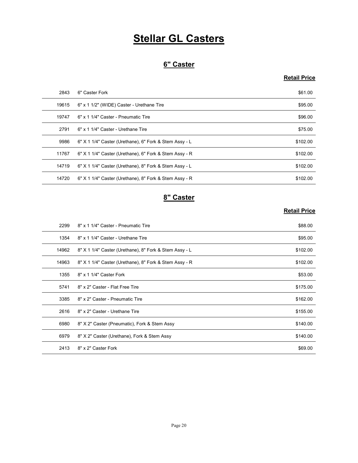# **Stellar GL Casters**

# 6" Caster

# Retail Price

|       | <b>Stellar GL Casters</b>                              |                     |
|-------|--------------------------------------------------------|---------------------|
|       |                                                        |                     |
|       | 6" Caster                                              |                     |
|       |                                                        | <b>Retail Price</b> |
| 2843  | 6" Caster Fork                                         | \$61.00             |
| 19615 | 6" x 1 1/2" (WIDE) Caster - Urethane Tire              | \$95.00             |
| 19747 | 6" x 1 1/4" Caster - Pneumatic Tire                    | \$96.00             |
| 2791  | 6" x 1 1/4" Caster - Urethane Tire                     | \$75.00             |
| 9986  | 6" X 1 1/4" Caster (Urethane), 6" Fork & Stem Assy - L | \$102.00            |
| 11767 | 6" X 1 1/4" Caster (Urethane), 6" Fork & Stem Assy - R | \$102.00            |
| 14719 | 6" X 1 1/4" Caster (Urethane), 8" Fork & Stem Assy - L | \$102.00            |
| 14720 | 6" X 1 1/4" Caster (Urethane), 8" Fork & Stem Assy - R | \$102.00            |
|       | 8" Caster                                              |                     |
|       |                                                        | <b>Retail Price</b> |
| 2299  | 8" x 1 1/4" Caster - Pneumatic Tire                    | \$88.00             |
| 1354  | 8" x 1 1/4" Caster - Urethane Tire                     | \$95.00             |
| 14962 | 8" X 1 1/4" Caster (Urethane), 8" Fork & Stem Assy - L | \$102.00            |
| 14963 | 8" X 1 1/4" Caster (Urethane), 8" Fork & Stem Assy - R | \$102.00            |
| 1355  | 8" x 1 1/4" Caster Fork                                | \$53.00             |
| 5741  | 8" x 2" Caster - Flat Free Tire                        | \$175.00            |

# 8" Caster

| 19747 | 6" x 1 1/4" Caster - Pneumatic Tire                    | \$96.00             |
|-------|--------------------------------------------------------|---------------------|
| 2791  | 6" x 1 1/4" Caster - Urethane Tire                     | \$75.00             |
| 9986  | 6" X 1 1/4" Caster (Urethane), 6" Fork & Stem Assy - L | \$102.00            |
| 11767 | 6" X 1 1/4" Caster (Urethane), 6" Fork & Stem Assy - R | \$102.00            |
| 14719 | 6" X 1 1/4" Caster (Urethane), 8" Fork & Stem Assy - L | \$102.00            |
| 14720 | 6" X 1 1/4" Caster (Urethane), 8" Fork & Stem Assy - R | \$102.00            |
|       | 8" Caster                                              |                     |
|       |                                                        | <b>Retail Price</b> |
| 2299  | 8" x 1 1/4" Caster - Pneumatic Tire                    | \$88.00             |
| 1354  | 8" x 1 1/4" Caster - Urethane Tire                     | \$95.00             |
| 14962 | 8" X 1 1/4" Caster (Urethane), 8" Fork & Stem Assy - L | \$102.00            |
| 14963 | 8" X 1 1/4" Caster (Urethane), 8" Fork & Stem Assy - R | \$102.00            |
| 1355  | 8" x 1 1/4" Caster Fork                                | \$53.00             |
| 5741  | 8" x 2" Caster - Flat Free Tire                        | \$175.00            |
| 3385  | 8" x 2" Caster - Pneumatic Tire                        | \$162.00            |
| 2616  | 8" x 2" Caster - Urethane Tire                         | \$155.00            |
| 6980  | 8" X 2" Caster (Pneumatic), Fork & Stem Assy           | \$140.00            |
| 6979  | 8" X 2" Caster (Urethane), Fork & Stem Assy            | \$140.00            |
| 2413  | 8" x 2" Caster Fork                                    | \$69.00             |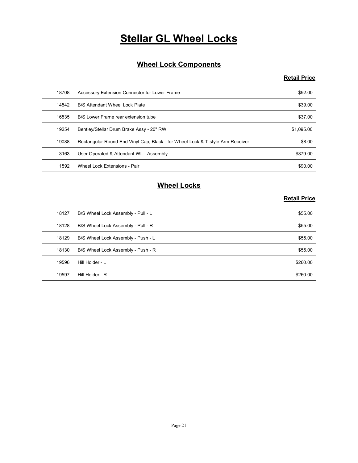# **Stellar GL Wheel Locks**

# Wheel Lock Components

# Retail Price

|       | <b>Stellar GL Wheel Locks</b>                                                  |                     |
|-------|--------------------------------------------------------------------------------|---------------------|
|       | <b>Wheel Lock Components</b>                                                   |                     |
|       |                                                                                | <b>Retail Price</b> |
| 18708 | Accessory Extension Connector for Lower Frame                                  | \$92.00             |
| 14542 | B/S Attendant Wheel Lock Plate                                                 | \$39.00             |
| 16535 | B/S Lower Frame rear extension tube                                            | \$37.00             |
| 19254 | Bentley/Stellar Drum Brake Assy - 20" RW                                       | \$1,095.00          |
| 19088 | Rectangular Round End Vinyl Cap, Black - for Wheel-Lock & T-style Arm Receiver | \$8.00              |
| 3163  | User Operated & Attendant WL - Assembly                                        | \$879.00            |
| 1592  | Wheel Lock Extensions - Pair                                                   | \$90.00             |
|       | <b>Wheel Locks</b>                                                             |                     |
|       |                                                                                | <b>Retail Price</b> |
| 18127 | B/S Wheel Lock Assembly - Pull - L                                             | \$55.00             |
| 18128 | B/S Wheel Lock Assembly - Pull - R                                             | \$55.00             |
| 18129 | B/S Wheel Lock Assembly - Push - L                                             | \$55.00             |
| 18130 | B/S Wheel Lock Assembly - Push - R                                             | \$55.00             |
| 19596 | Hill Holder - L                                                                | \$260.00            |
| 19597 | Hill Holder - R                                                                | \$260.00            |

# Wheel Locks

| 16535 | B/S Lower Frame rear extension tube                                            | \$37.00             |
|-------|--------------------------------------------------------------------------------|---------------------|
| 19254 | Bentley/Stellar Drum Brake Assy - 20" RW                                       | \$1,095.00          |
| 19088 | Rectangular Round End Vinyl Cap, Black - for Wheel-Lock & T-style Arm Receiver | \$8.00              |
| 3163  | User Operated & Attendant WL - Assembly                                        | \$879.00            |
| 1592  | Wheel Lock Extensions - Pair                                                   | \$90.00             |
|       | <b>Wheel Locks</b>                                                             | <b>Retail Price</b> |
| 18127 | B/S Wheel Lock Assembly - Pull - L                                             | \$55.00             |
| 18128 | B/S Wheel Lock Assembly - Pull - R                                             | \$55.00             |
| 18129 | B/S Wheel Lock Assembly - Push - L                                             | \$55.00             |
| 18130 | B/S Wheel Lock Assembly - Push - R                                             | \$55.00             |
|       | Hill Holder - L                                                                | \$260.00            |
| 19596 |                                                                                |                     |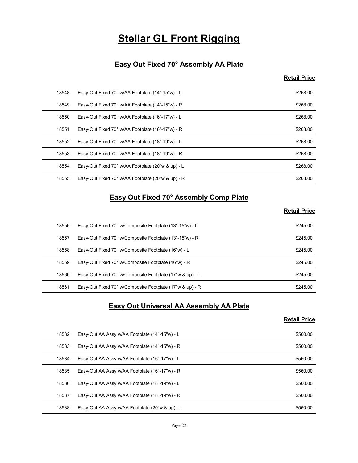# **Stellar GL Front Rigging**

# Easy Out Fixed 70° Assembly AA Plate

# Retail Price

|       | <b>Stellar GL Front Rigging</b>                          |                     |
|-------|----------------------------------------------------------|---------------------|
|       |                                                          |                     |
|       | Easy Out Fixed 70° Assembly AA Plate                     |                     |
|       |                                                          | <b>Retail Price</b> |
| 18548 | Easy-Out Fixed 70° w/AA Footplate (14"-15"w) - L         | \$268.00            |
| 18549 | Easy-Out Fixed 70° w/AA Footplate (14"-15"w) - R         | \$268.00            |
| 18550 | Easy-Out Fixed 70° w/AA Footplate (16"-17"w) - L         | \$268.00            |
| 18551 | Easy-Out Fixed 70° w/AA Footplate (16"-17"w) - R         | \$268.00            |
| 18552 | Easy-Out Fixed 70° w/AA Footplate (18"-19"w) - L         | \$268.00            |
| 18553 | Easy-Out Fixed 70° w/AA Footplate (18"-19"w) - R         | \$268.00            |
| 18554 | Easy-Out Fixed 70° w/AA Footplate (20"w & up) - L        | \$268.00            |
| 18555 | Easy-Out Fixed 70° w/AA Footplate (20"w & up) - R        | \$268.00            |
|       | Easy Out Fixed 70° Assembly Comp Plate                   |                     |
|       |                                                          | <b>Retail Price</b> |
| 18556 | Easy-Out Fixed 70° w/Composite Footplate (13"-15"w) - L  | \$245.00            |
| 18557 | Easy-Out Fixed 70° w/Composite Footplate (13"-15"w) - R  | \$245.00            |
| 18558 | Easy-Out Fixed 70° w/Composite Footplate (16"w) - L      | \$245.00            |
| 18559 | Easy-Out Fixed 70° w/Composite Footplate (16"w) - R      | \$245.00            |
| 18560 | Easy-Out Fixed 70° w/Composite Footplate (17"w & up) - L | \$245.00            |
|       |                                                          |                     |

# Easy Out Fixed 70° Assembly Comp Plate

# Retail Price

| 18551 | Easy-Out Fixed 70° w/AA Footplate (16"-17"w) - R                           | \$268.00            |
|-------|----------------------------------------------------------------------------|---------------------|
| 18552 | Easy-Out Fixed 70° w/AA Footplate (18"-19"w) - L                           | \$268.00            |
| 18553 | Easy-Out Fixed 70° w/AA Footplate (18"-19"w) - R                           | \$268.00            |
| 18554 | Easy-Out Fixed 70° w/AA Footplate (20"w & up) - L                          | \$268.00            |
| 18555 | Easy-Out Fixed 70° w/AA Footplate (20"w & up) - R                          | \$268.00            |
|       | <b>Easy Out Fixed 70° Assembly Comp Plate</b>                              | <b>Retail Price</b> |
| 18556 | Easy-Out Fixed 70° w/Composite Footplate (13"-15"w) - L                    | \$245.00            |
| 18557 | Easy-Out Fixed 70° w/Composite Footplate (13"-15"w) - R                    | \$245.00            |
| 18558 | Easy-Out Fixed 70° w/Composite Footplate (16"w) - L                        | \$245.00            |
| 18559 | Easy-Out Fixed 70° w/Composite Footplate (16"w) - R                        | \$245.00            |
| 18560 | Easy-Out Fixed 70° w/Composite Footplate (17"w & up) - L                   | \$245.00            |
| 18561 | Easy-Out Fixed 70° w/Composite Footplate (17"w & up) - R                   | \$245.00            |
|       | <b>Easy Out Universal AA Assembly AA Plate</b>                             | <b>Retail Price</b> |
| 18532 | Easy-Out AA Assy w/AA Footplate (14"-15"w) - L                             | \$560.00            |
| 18533 | Easy-Out AA Assy w/AA Footplate (14"-15"w) - R                             | \$560.00            |
| 18534 | Easy-Out AA Assy w/AA Footplate (16"-17"w) - L                             | \$560.00            |
| 18535 | Easy-Out AA Assy w/AA Footplate (16"-17"w) - R                             | \$560.00            |
| 18536 | Easy-Out AA Assy w/AA Footplate (18"-19"w) - L                             | \$560.00            |
| 18537 | $Fasev$ -Out $\Delta\Delta$ Assy $w/\Delta\Delta$ Footplate (18"-19"w) - R | \$560.00            |

# Easy Out Universal AA Assembly AA Plate

| 18556 |                                                          |                     |
|-------|----------------------------------------------------------|---------------------|
|       | Easy-Out Fixed 70° w/Composite Footplate (13"-15"w) - L  | \$245.00            |
| 18557 | Easy-Out Fixed 70° w/Composite Footplate (13"-15"w) - R  | \$245.00            |
| 18558 | Easy-Out Fixed 70° w/Composite Footplate (16"w) - L      | \$245.00            |
| 18559 | Easy-Out Fixed 70° w/Composite Footplate (16"w) - R      | \$245.00            |
| 18560 | Easy-Out Fixed 70° w/Composite Footplate (17"w & up) - L | \$245.00            |
| 18561 | Easy-Out Fixed 70° w/Composite Footplate (17"w & up) - R | \$245.00            |
|       | <b>Easy Out Universal AA Assembly AA Plate</b>           | <b>Retail Price</b> |
| 18532 | Easy-Out AA Assy w/AA Footplate (14"-15"w) - L           | \$560.00            |
| 18533 | Easy-Out AA Assy w/AA Footplate (14"-15"w) - R           | \$560.00            |
| 18534 | Easy-Out AA Assy w/AA Footplate (16"-17"w) - L           | \$560.00            |
| 18535 | Easy-Out AA Assy w/AA Footplate (16"-17"w) - R           | \$560.00            |
| 18536 | Easy-Out AA Assy w/AA Footplate (18"-19"w) - L           | \$560.00            |
|       | Easy-Out AA Assy w/AA Footplate (18"-19"w) - R           | \$560.00            |
| 18537 |                                                          |                     |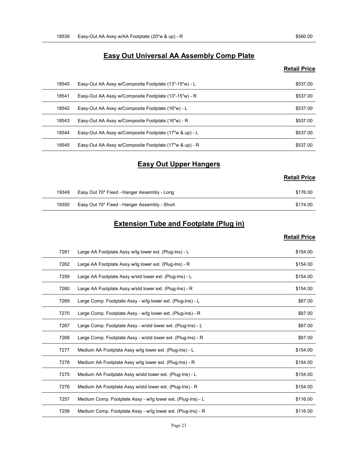# Easy-Out AA Assy w/AA Footplate (20"w & up) - R \$560.00<br>Easy Out Universal AA Assembly Comp Plate<br>Retail Price Easy Out Universal AA Assembly Comp Plate

#### Retail Price

| 18539 | Easy-Out AA Assy w/AA Footplate (20"w & up) - R         | \$560.00            |
|-------|---------------------------------------------------------|---------------------|
|       |                                                         |                     |
|       | <b>Easy Out Universal AA Assembly Comp Plate</b>        |                     |
|       |                                                         | <b>Retail Price</b> |
| 18540 | Easy-Out AA Assy w/Composite Footplate (13"-15"w) - L   | \$537.00            |
| 18541 | Easy-Out AA Assy w/Composite Footplate (13"-15"w) - R   | \$537.00            |
| 18542 | Easy-Out AA Assy w/Composite Footplate (16"w) - L       | \$537.00            |
| 18543 | Easy-Out AA Assy w/Composite Footplate (16"w) - R       | \$537.00            |
| 18544 | Easy-Out AA Assy w/Composite Footplate (17"w & up) - L  | \$537.00            |
| 18545 | Easy-Out AA Assy w/Composite Footplate (17"w & up) - R  | \$537.00            |
|       | <b>Easy Out Upper Hangers</b>                           |                     |
|       |                                                         | <b>Retail Price</b> |
| 19349 | Easy Out 70* Fixed - Hanger Assembly - Long             | \$176.00            |
| 19350 | Easy Out 70* Fixed - Hanger Assembly - Short            | \$174.00            |
|       | <b>Extension Tube and Footplate (Plug in)</b>           |                     |
|       |                                                         | <b>Retail Price</b> |
| 7261  | Large AA Footplate Assy w/lg lower ext. (Plug-Ins) - L  | \$154.00            |
| 7262  | Large AA Footplate Assy w/lg lower ext. (Plug-Ins) - R  | \$154.00            |
| 7259  | Large AA Footplate Assy w/std lower ext. (Plug-Ins) - L | \$154.00            |
| 7260  | Large AA Footplate Assy w/std lower ext (Plug-Ins) - R  | \$15400             |

# Easy Out Upper Hangers

|                                              | <b>NUMBER</b> |
|----------------------------------------------|---------------|
| Easy Out 70* Fixed - Hanger Assembly - Long  | \$176.00      |
| Easy Out 70* Fixed - Hanger Assembly - Short | \$174.00      |

# Extension Tube and Footplate (Plug in)

#### **Retail Price**

| 18543 | Easy-Out AA Assy w/Composite Footplate (16"w) - R            | \$537.00            |
|-------|--------------------------------------------------------------|---------------------|
| 18544 | Easy-Out AA Assy w/Composite Footplate (17"w & up) - L       | \$537.00            |
| 18545 | Easy-Out AA Assy w/Composite Footplate (17"w & up) - R       | \$537.00            |
|       | <b>Easy Out Upper Hangers</b>                                |                     |
|       |                                                              | <b>Retail Price</b> |
|       |                                                              |                     |
| 19349 | Easy Out 70* Fixed - Hanger Assembly - Long                  | \$176.00            |
| 19350 | Easy Out 70* Fixed - Hanger Assembly - Short                 | \$174.00            |
|       | <b>Extension Tube and Footplate (Plug in)</b>                |                     |
|       |                                                              | <b>Retail Price</b> |
| 7261  | Large AA Footplate Assy w/lg lower ext. (Plug-Ins) - L       | \$154.00            |
| 7262  | Large AA Footplate Assy w/lg lower ext. (Plug-Ins) - R       | \$154.00            |
| 7259  | Large AA Footplate Assy w/std lower ext. (Plug-Ins) - L      | \$154.00            |
| 7260  | Large AA Footplate Assy w/std lower ext. (Plug-Ins) - R      | \$154.00            |
| 7269  | Large Comp. Footplate Assy - w/lg lower ext. (Plug-Ins) - L  | \$87.00             |
| 7270  | Large Comp. Footplate Assy - w/lg lower ext. (Plug-Ins) - R  | \$87.00             |
| 7267  | Large Comp. Footplate Assy - w/std lower ext. (Plug-Ins) - L | \$87.00             |
| 7268  | Large Comp. Footplate Assy - w/std lower ext. (Plug-Ins) - R | \$87.00             |
| 7277  | Medium AA Footplate Assy w/lg lower ext. (Plug-Ins) - L      | \$154.00            |
| 7278  | Medium AA Footplate Assy w/lg lower ext. (Plug-Ins) - R      | \$154.00            |
| 7275  | Medium AA Footplate Assy w/std lower ext. (Plug-Ins) - L     | \$154.00            |
| 7276  | Medium AA Footplate Assy w/std lower ext. (Plug-Ins) - R     | \$154.00            |
| 7257  | Medium Comp. Footplate Assy - w/lg lower ext. (Plug-Ins) - L | \$116.00            |
| 7258  | Medium Comp. Footplate Assy - w/lg lower ext. (Plug-Ins) - R | \$116.00            |
|       | Page 23                                                      |                     |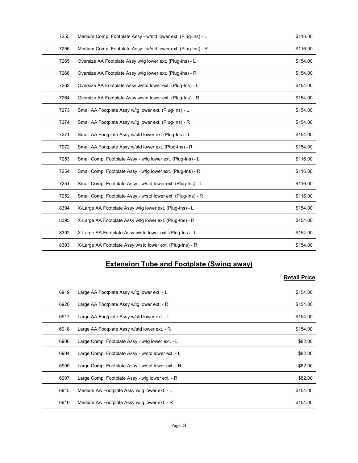| 7255 | Medium Comp. Footplate Assy - w/std lower ext. (Plug-Ins) - L | \$116.00            |
|------|---------------------------------------------------------------|---------------------|
| 7256 | Medium Comp. Footplate Assy - w/std lower ext. (Plug-Ins) - R | \$116.00            |
| 7265 | Oversize AA Footplate Assy w/lg lower ext. (Plug-Ins) - L     | \$154.00            |
| 7266 | Oversize AA Footplate Assy w/lg lower ext. (Plug-Ins) - R     | \$154.00            |
| 7263 | Oversize AA Footplate Assy w/std lower ext. (Plug-Ins) - L    | \$154.00            |
| 7264 | Oversize AA Footplate Assy w/std lower ext. (Plug-Ins) - R    | \$154.00            |
| 7273 | Small AA Footplate Assy w/lg lower ext. (Plug-Ins) - L        | \$154.00            |
| 7274 | Small AA Footplate Assy w/lg lower ext. (Plug-Ins) - R        | \$154.00            |
| 7271 | Small AA Footplate Assy w/std lower ext (Plug-Ins) - L        | \$154.00            |
| 7272 | Small AA Footplate Assy w/std lower ext. (Plug-Ins) - R       | \$154.00            |
| 7253 | Small Comp. Footplate Assy - w/lg lower ext. (Plug-Ins) - L   | \$116.00            |
| 7254 | Small Comp. Footplate Assy - w/lg lower ext. (Plug-Ins) - R   | \$116.00            |
| 7251 | Small Comp. Footplate Assy - w/std lower ext. (Plug-Ins) - L  | \$116.00            |
| 7252 | Small Comp. Footplate Assy - w/std lower ext. (Plug-Ins) - R  | \$116.00            |
| 8394 | X-Large AA Footplate Assy w/lg lower ext. (Plug-Ins) - L      | \$154.00            |
| 8395 | X-Large AA Footplate Assy w/lg lower ext. (Plug-Ins) - R      | \$154.00            |
| 8392 | X-Large AA Footplate Assy w/std lower ext. (Plug-Ins) - L     | \$154.00            |
| 8393 | X-Large AA Footplate Assy w/std lower ext. (Plug-Ins) - R     | \$154.00            |
|      |                                                               |                     |
|      | <b>Extension Tube and Footplate (Swing away)</b>              |                     |
|      |                                                               | <b>Retail Price</b> |
| 6919 | Large AA Footplate Assy w/lg lower ext. - L                   | \$154.00            |
| 6920 | Large AA Footplate Assy w/lg lower ext. - R                   | \$154.00            |
| 6917 | Large AA Footplate Assy w/std lower ext. - L                  | \$154.00            |
| 6918 | Large AA Footplate Assy w/std lower ext. - R                  | \$154.00            |
| 6906 | Large Comp. Footplate Assy - w/lg lower ext. - L              | \$82.00             |
| 6904 | Large Comp. Footplate Assy - w/std lower ext. - L             | \$82.00             |

# Extension Tube and Footplate (Swing away)

| 7251 |                                                              |                     |
|------|--------------------------------------------------------------|---------------------|
|      | Small Comp. Footplate Assy - w/std lower ext. (Plug-Ins) - L | \$116.00            |
| 7252 | Small Comp. Footplate Assy - w/std lower ext. (Plug-Ins) - R | \$116.00            |
| 8394 | X-Large AA Footplate Assy w/lg lower ext. (Plug-Ins) - L     | \$154.00            |
| 8395 | X-Large AA Footplate Assy w/lg lower ext. (Plug-Ins) - R     | \$154.00            |
| 8392 | X-Large AA Footplate Assy w/std lower ext. (Plug-Ins) - L    | \$154.00            |
| 8393 | X-Large AA Footplate Assy w/std lower ext. (Plug-Ins) - R    | \$154.00            |
|      | <b>Extension Tube and Footplate (Swing away)</b>             | <b>Retail Price</b> |
| 6919 | Large AA Footplate Assy w/lg lower ext. - L                  | \$154.00            |
| 6920 | Large AA Footplate Assy w/lg lower ext. - R                  | \$154.00            |
| 6917 | Large AA Footplate Assy w/std lower ext. - L                 | \$154.00            |
| 6918 | Large AA Footplate Assy w/std lower ext. - R                 | \$154.00            |
| 6906 | Large Comp. Footplate Assy - w/lg lower ext. - L             | \$82.00             |
|      | Large Comp. Footplate Assy - w/std lower ext. - L            | \$82.00             |
| 6904 |                                                              |                     |
| 6905 | Large Comp. Footplate Assy - w/std lower ext. - R            | \$82.00             |
| 6907 | Large Comp. Footplate Assy - wig lower ext. - R              | \$82.00             |
| 6915 | Medium AA Footplate Assy w/lg lower ext. - L                 | \$154.00            |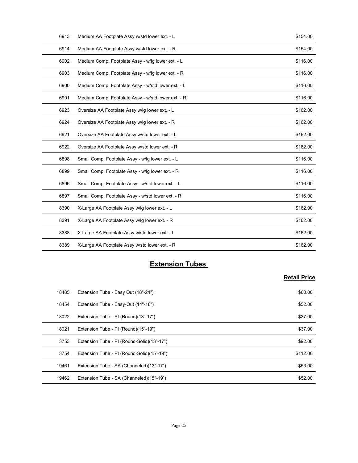| 6913         | Medium AA Footplate Assy w/std lower ext. - L                                            | \$154.00            |
|--------------|------------------------------------------------------------------------------------------|---------------------|
| 6914         | Medium AA Footplate Assy w/std lower ext. - R                                            | \$154.00            |
| 6902         | Medium Comp. Footplate Assy - w/lg lower ext. - L                                        | \$116.00            |
| 6903         | Medium Comp. Footplate Assy - w/lg lower ext. - R                                        | \$116.00            |
| 6900         | Medium Comp. Footplate Assy - w/std lower ext. - L                                       | \$116.00            |
| 6901         | Medium Comp. Footplate Assy - w/std lower ext. - R                                       | \$116.00            |
| 6923         | Oversize AA Footplate Assy w/lg lower ext. - L                                           | \$162.00            |
| 6924         | Oversize AA Footplate Assy w/lg lower ext. - R                                           | \$162.00            |
| 6921         | Oversize AA Footplate Assy w/std lower ext. - L                                          | \$162.00            |
| 6922         | Oversize AA Footplate Assy w/std lower ext. - R                                          | \$162.00            |
| 6898         | Small Comp. Footplate Assy - w/lg lower ext. - L                                         | \$116.00            |
| 6899         | Small Comp. Footplate Assy - w/lg lower ext. - R                                         | \$116.00            |
| 6896         | Small Comp. Footplate Assy - w/std lower ext. - L                                        | \$116.00            |
| 6897         | Small Comp. Footplate Assy - w/std lower ext. - R                                        | \$116.00            |
| 8390         | X-Large AA Footplate Assy w/lg lower ext. - L                                            | \$162.00            |
| 8391         | X-Large AA Footplate Assy w/lg lower ext. - R                                            | \$162.00            |
| 8388         | X-Large AA Footplate Assy w/std lower ext. - L                                           | \$162.00            |
| 8389         | X-Large AA Footplate Assy w/std lower ext. - R                                           | \$162.00            |
|              | <b>Extension Tubes</b>                                                                   |                     |
|              |                                                                                          | <b>Retail Price</b> |
|              |                                                                                          |                     |
| 18485        | Extension Tube - Easy Out (18"-24")                                                      | \$60.00             |
| 18454        | Extension Tube - Easy-Out (14"-18")                                                      | \$52.00             |
| 18022        | Extension Tube - PI (Round)(13"-17")                                                     | \$37.00             |
| 18021        | Extension Tube - PI (Round)(15"-19")                                                     | \$37.00             |
| 3753<br>3754 | Extension Tube - PI (Round-Solid)(13"-17")<br>Extension Tube - PL (Round-Solid)(15"-19") | \$92.00             |
|              |                                                                                          | \$11200             |

# **Extension Tubes**

| 6896  | Small Comp. Footplate Assy - w/std lower ext. - L | \$116.00            |
|-------|---------------------------------------------------|---------------------|
| 6897  | Small Comp. Footplate Assy - w/std lower ext. - R | \$116.00            |
| 8390  | X-Large AA Footplate Assy w/lg lower ext. - L     | \$162.00            |
| 8391  | X-Large AA Footplate Assy w/lg lower ext. - R     | \$162.00            |
| 8388  | X-Large AA Footplate Assy w/std lower ext. - L    | \$162.00            |
| 8389  | X-Large AA Footplate Assy w/std lower ext. - R    | \$162.00            |
|       | <b>Extension Tubes</b>                            |                     |
|       |                                                   |                     |
|       |                                                   | <b>Retail Price</b> |
| 18485 | Extension Tube - Easy Out (18"-24")               | \$60.00             |
| 18454 | Extension Tube - Easy-Out (14"-18")               | \$52.00             |
| 18022 | Extension Tube - PI (Round)(13"-17")              | \$37.00             |
|       |                                                   |                     |
| 18021 | Extension Tube - PI (Round)(15"-19")              | \$37.00             |
| 3753  | Extension Tube - PI (Round-Solid)(13"-17")        | \$92.00             |
| 3754  | Extension Tube - PI (Round-Solid)(15"-19")        | \$112.00            |
| 19461 | Extension Tube - SA (Channeled)(13"-17")          | \$53.00             |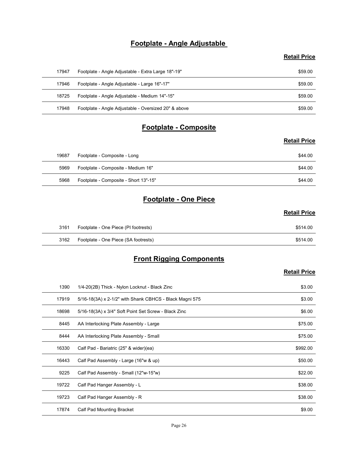# Footplate - Angle Adjustable

### Retail Price

|       | Footplate - Angle Adjustable                         |                     |
|-------|------------------------------------------------------|---------------------|
|       |                                                      | <b>Retail Price</b> |
| 17947 | Footplate - Angle Adjustable - Extra Large 18"-19"   | \$59.00             |
| 17946 | Footplate - Angle Adjustable - Large 16"-17"         | \$59.00             |
| 18725 | Footplate - Angle Adjustable - Medium 14"-15"        | \$59.00             |
| 17948 | Footplate - Angle Adjustable - Oversized 20" & above | \$59.00             |
|       | Footplate - Composite                                |                     |
|       |                                                      | <b>Retail Price</b> |
| 19687 | Footplate - Composite - Long                         | \$44.00             |
| 5969  | Footplate - Composite - Medium 16"                   | \$44.00             |
|       | 5968 Footplate - Composite - Short 13"-15"           | \$44.00             |
|       | Footplate - One Piece                                |                     |
|       |                                                      | <b>Retail Price</b> |
|       | Footplate - One Piece (PI footrests)                 | \$514.00            |
| 3161  |                                                      |                     |

# Footplate - Composite

#### Retail Price

| 18725 | Footplate - Angle Adjustable - Medium 14"-15"        | \$59.00             |
|-------|------------------------------------------------------|---------------------|
| 17948 | Footplate - Angle Adjustable - Oversized 20" & above | \$59.00             |
|       | <b>Footplate - Composite</b>                         |                     |
|       |                                                      | <b>Retail Price</b> |
| 19687 | Footplate - Composite - Long                         | \$44.00             |
| 5969  | Footplate - Composite - Medium 16"                   | \$44.00             |
| 5968  | Footplate - Composite - Short 13"-15"                | \$44.00             |
|       | <b>Footplate - One Piece</b>                         |                     |
|       |                                                      | <b>Retail Price</b> |
| 3161  | Footplate - One Piece (PI footrests)                 | \$514.00            |
| 3162  | Footplate - One Piece (SA footrests)                 | \$514.00            |
|       | <b>Front Rigging Components</b>                      |                     |
|       |                                                      | <b>Retail Price</b> |

# Footplate - One Piece

# Retail Price

| 3161 | Footplate - One Piece (PI footrests) | \$514.00 |
|------|--------------------------------------|----------|
| 3162 | Footplate - One Piece (SA footrests) | \$514.00 |

# Front Rigging Components

|       |                                                         | <b>Retail Price</b> |
|-------|---------------------------------------------------------|---------------------|
| 19687 | Footplate - Composite - Long                            | \$44.00             |
| 5969  | Footplate - Composite - Medium 16"                      | \$44.00             |
| 5968  | Footplate - Composite - Short 13"-15"                   | \$44.00             |
|       | <b>Footplate - One Piece</b>                            |                     |
|       |                                                         | <b>Retail Price</b> |
| 3161  | Footplate - One Piece (PI footrests)                    | \$514.00            |
| 3162  | Footplate - One Piece (SA footrests)                    | \$514.00            |
|       | <b>Front Rigging Components</b>                         |                     |
|       |                                                         | <b>Retail Price</b> |
| 1390  | 1/4-20(2B) Thick - Nylon Locknut - Black Zinc           | \$3.00              |
| 17919 | 5/16-18(3A) x 2-1/2" with Shank CBHCS - Black Magni 575 | \$3.00              |
| 18698 | 5/16-18(3A) x 3/4" Soft Point Set Screw - Black Zinc    | \$6.00              |
| 8445  | AA Interlocking Plate Assembly - Large                  | \$75.00             |
| 8444  | AA Interlocking Plate Assembly - Small                  | \$75.00             |
| 16330 | Calf Pad - Bariatric (25" & wider)(ea)                  | \$992.00            |
| 16443 | Calf Pad Assembly - Large (16"w & up)                   | \$50.00             |
| 9225  | Calf Pad Assembly - Small (12"w-15"w)                   | \$22.00             |
| 19722 | Calf Pad Hanger Assembly - L                            | \$38.00             |
| 19723 | Calf Pad Hanger Assembly - R                            | \$38.00             |
| 17874 | Calf Pad Mounting Bracket                               | \$9.00              |
|       |                                                         |                     |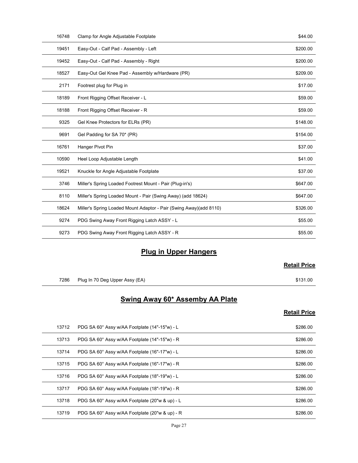| 16748 | Clamp for Angle Adjustable Footplate                               | \$44.00             |
|-------|--------------------------------------------------------------------|---------------------|
| 19451 | Easy-Out - Calf Pad - Assembly - Left                              | \$200.00            |
| 19452 | Easy-Out - Calf Pad - Assembly - Right                             | \$200.00            |
| 18527 | Easy-Out Gel Knee Pad - Assembly w/Hardware (PR)                   | \$209.00            |
| 2171  | Footrest plug for Plug in                                          | \$17.00             |
| 18189 | Front Rigging Offset Receiver - L                                  | \$59.00             |
| 18188 | Front Rigging Offset Receiver - R                                  | \$59.00             |
| 9325  | Gel Knee Protectors for ELRs (PR)                                  | \$148.00            |
| 9691  | Gel Padding for SA 70* (PR)                                        | \$154.00            |
| 16761 | Hanger Pivot Pin                                                   | \$37.00             |
| 10590 | Heel Loop Adjustable Length                                        | \$41.00             |
| 19521 | Knuckle for Angle Adjustable Footplate                             | \$37.00             |
| 3746  | Miller's Spring Loaded Footrest Mount - Pair (Plug-in's)           | \$647.00            |
| 8110  | Miller's Spring Loaded Mount - Pair (Swing Away) (add 18624)       | \$647.00            |
| 18624 | Miller's Spring Loaded Mount Adaptor - Pair (Swing Away)(add 8110) | \$326.00            |
| 9274  | PDG Swing Away Front Rigging Latch ASSY - L                        | \$55.00             |
| 9273  | PDG Swing Away Front Rigging Latch ASSY - R                        | \$55.00             |
|       | <b>Plug in Upper Hangers</b>                                       |                     |
|       |                                                                    | <b>Retail Price</b> |
|       |                                                                    |                     |
| 7286  | Plug In 70 Deg Upper Assy (EA)                                     | \$131.00            |
|       | Swing Away 60* Assemby AA Plate                                    |                     |
|       |                                                                    | <b>Retail Price</b> |
| 13712 | PDG SA 60° Assy w/AA Footplate (14"-15"w) - L                      | \$286.00            |
| 13713 | PDG SA 60° Assy w/AA Footplate (14"-15"w) - R                      | \$286.00            |
| 13714 | PDG SA 60° Assy w/AA Footplate (16"-17"w) - L                      | \$286.00            |
| 13715 | PDG SA 60° Assy w/AA Footplate (16"-17"w) - R                      | \$286.00            |

# **Plug in Upper Hangers**

# Retail Price

# Swing Away 60\* Assemby AA Plate

| 8110  | Miller's Spring Loaded Mount - Pair (Swing Away) (add 18624)       | \$647.00            |
|-------|--------------------------------------------------------------------|---------------------|
| 18624 | Miller's Spring Loaded Mount Adaptor - Pair (Swing Away)(add 8110) | \$326.00            |
| 9274  | PDG Swing Away Front Rigging Latch ASSY - L                        | \$55.00             |
| 9273  | PDG Swing Away Front Rigging Latch ASSY - R                        | \$55.00             |
|       | <b>Plug in Upper Hangers</b>                                       |                     |
|       |                                                                    | <b>Retail Price</b> |
| 7286  | Plug In 70 Deg Upper Assy (EA)                                     | \$131.00            |
|       | <b>Swing Away 60* Assemby AA Plate</b>                             |                     |
|       |                                                                    | <b>Retail Price</b> |
| 13712 | PDG SA 60° Assy w/AA Footplate (14"-15"w) - L                      | \$286.00            |
| 13713 | PDG SA 60° Assy w/AA Footplate (14"-15"w) - R                      | \$286.00            |
| 13714 | PDG SA 60° Assy w/AA Footplate (16"-17"w) - L                      | \$286.00            |
| 13715 | PDG SA 60° Assy w/AA Footplate (16"-17"w) - R                      | \$286.00            |
| 13716 | PDG SA 60° Assy w/AA Footplate (18"-19"w) - L                      | \$286.00            |
| 13717 | PDG SA 60° Assy w/AA Footplate (18"-19"w) - R                      | \$286.00            |
| 13718 | PDG SA 60° Assy w/AA Footplate (20"w & up) - L                     | \$286.00            |
| 13719 | PDG SA 60° Assy w/AA Footplate (20"w & up) - R                     | \$286.00            |
|       | Page 27                                                            |                     |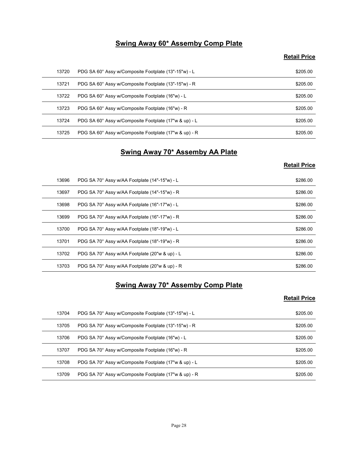# Swing Away 60\* Assemby Comp Plate

# Retail Price

|       | Swing Away 60* Assemby Comp Plate                          |                     |
|-------|------------------------------------------------------------|---------------------|
|       |                                                            | <b>Retail Price</b> |
| 13720 | PDG SA 60° Assy w/Composite Footplate (13"-15"w) - L       | \$205.00            |
| 13721 | PDG SA 60° Assy w/Composite Footplate (13"-15"w) - R       | \$205.00            |
| 13722 | PDG SA 60° Assy w/Composite Footplate (16"w) - L           | \$205.00            |
| 13723 | PDG SA 60° Assy w/Composite Footplate (16"w) - R           | \$205.00            |
| 13724 | PDG SA 60° Assy w/Composite Footplate (17"w & up) - L      | \$205.00            |
| 13725 | PDG SA 60° Assy w/Composite Footplate (17"w & up) - R      | \$205.00            |
|       | Swing Away 70* Assemby AA Plate                            |                     |
|       |                                                            | <b>Retail Price</b> |
| 13696 | PDG SA 70° Assy w/AA Footplate (14"-15"w) - L              | \$286.00            |
| 13697 | PDG SA 70° Assy w/AA Footplate (14"-15"w) - R              | \$286.00            |
| 13698 | PDG SA 70° Assy w/AA Footplate (16"-17"w) - L              | \$286.00            |
| 13699 | PDG SA 70° Assy w/AA Footplate (16"-17"w) - R              | \$286.00            |
| 13700 | PDG SA 70° Assy w/AA Footplate (18"-19"w) - L              | \$286.00            |
| 13701 | $P\cap G$ SA $70^\circ$ Assy w/AA Footplate (18"-19"w) - R | \$286.00            |

# Swing Away 70\* Assemby AA Plate

# Retail Price

| 13720 | PDG SA 60° Assy w/Composite Footplate (13"-15"w) - L  | \$205.00            |
|-------|-------------------------------------------------------|---------------------|
| 13721 | PDG SA 60° Assy w/Composite Footplate (13"-15"w) - R  | \$205.00            |
| 13722 | PDG SA 60° Assy w/Composite Footplate (16"w) - L      | \$205.00            |
| 13723 | PDG SA 60° Assy w/Composite Footplate (16"w) - R      | \$205.00            |
| 13724 | PDG SA 60° Assy w/Composite Footplate (17"w & up) - L | \$205.00            |
| 13725 | PDG SA 60° Assy w/Composite Footplate (17"w & up) - R | \$205.00            |
|       | <b>Swing Away 70* Assemby AA Plate</b>                |                     |
|       |                                                       | <b>Retail Price</b> |
| 13696 | PDG SA 70° Assy w/AA Footplate (14"-15"w) - L         | \$286.00            |
| 13697 | PDG SA 70° Assy w/AA Footplate (14"-15"w) - R         | \$286.00            |
| 13698 | PDG SA 70° Assy w/AA Footplate (16"-17"w) - L         | \$286.00            |
| 13699 | PDG SA 70° Assy w/AA Footplate (16"-17"w) - R         | \$286.00            |
| 13700 | PDG SA 70° Assy w/AA Footplate (18"-19"w) - L         | \$286.00            |
| 13701 | PDG SA 70° Assy w/AA Footplate (18"-19"w) - R         | \$286.00            |
| 13702 | PDG SA 70° Assy w/AA Footplate (20"w & up) - L        | \$286.00            |
| 13703 | PDG SA 70° Assy w/AA Footplate (20"w & up) - R        | \$286.00            |
|       | <b>Swing Away 70* Assemby Comp Plate</b>              |                     |
|       |                                                       | <b>Retail Price</b> |
| 13704 | PDG SA 70° Assy w/Composite Footplate (13"-15"w) - L  | \$205.00            |
| 13705 | PDG SA 70° Assy w/Composite Footplate (13"-15"w) - R  | \$205.00            |
| 13706 | PDG SA 70° Assy w/Composite Footplate (16"w) - L      | \$205.00            |
| 13707 | PDG SA 70° Assy w/Composite Footplate (16"w) - R      | \$205.00            |
|       |                                                       |                     |
| 13708 | PDG SA 70° Assy w/Composite Footplate (17"w & up) - L | \$205.00            |

# Swing Away 70\* Assemby Comp Plate

| 13699 | PDG SA 70° Assy w/AA Footplate (16"-17"w) - R         | \$286.00            |
|-------|-------------------------------------------------------|---------------------|
| 13700 | PDG SA 70° Assy w/AA Footplate (18"-19"w) - L         | \$286.00            |
| 13701 | PDG SA 70° Assy w/AA Footplate (18"-19"w) - R         | \$286.00            |
| 13702 | PDG SA 70° Assy w/AA Footplate (20"w & up) - L        | \$286.00            |
| 13703 | PDG SA 70° Assy w/AA Footplate (20"w & up) - R        | \$286.00            |
|       |                                                       |                     |
|       | <b>Swing Away 70* Assemby Comp Plate</b>              | <b>Retail Price</b> |
| 13704 | PDG SA 70° Assy w/Composite Footplate (13"-15"w) - L  | \$205.00            |
| 13705 | PDG SA 70° Assy w/Composite Footplate (13"-15"w) - R  | \$205.00            |
| 13706 | PDG SA 70° Assy w/Composite Footplate (16"w) - L      | \$205.00            |
| 13707 | PDG SA 70° Assy w/Composite Footplate (16"w) - R      | \$205.00            |
| 13708 | PDG SA 70° Assy w/Composite Footplate (17"w & up) - L | \$205.00            |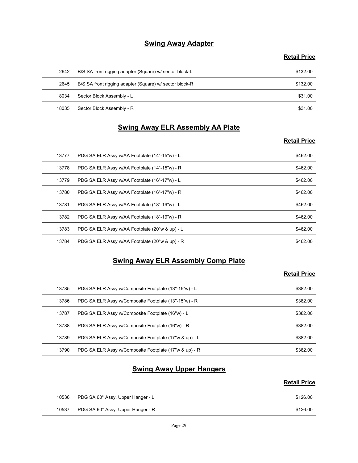# **Swing Away Adapter**

#### Retail Price

|       | <b>Swing Away Adapter</b>                               |                     |
|-------|---------------------------------------------------------|---------------------|
|       |                                                         | <b>Retail Price</b> |
| 2642  | B/S SA front rigging adapter (Square) w/ sector block-L | \$132.00            |
| 2645  | B/S SA front rigging adapter (Square) w/ sector block-R | \$132.00            |
| 18034 | Sector Block Assembly - L                               | \$31.00             |
| 18035 | Sector Block Assembly - R                               | \$31.00             |
|       | <b>Swing Away ELR Assembly AA Plate</b>                 |                     |
|       |                                                         | <b>Retail Price</b> |
| 13777 | PDG SA ELR Assy w/AA Footplate (14"-15"w) - L           | \$462.00            |
| 13778 | PDG SA ELR Assy w/AA Footplate (14"-15"w) - R           | \$462.00            |
| 13779 | PDG SA ELR Assy w/AA Footplate (16"-17"w) - L           | \$462.00            |
| 13780 | PDG SA FLR Assy $w/4A$ Footplate $(16" - 17"w) - R$     | \$46200             |

# Swing Away ELR Assembly AA Plate

#### Retail Price

|       | <b>Swing Away Adapter</b>                               |                     |
|-------|---------------------------------------------------------|---------------------|
|       |                                                         | <b>Retail Price</b> |
| 2642  | B/S SA front rigging adapter (Square) w/ sector block-L | \$132.00            |
| 2645  | B/S SA front rigging adapter (Square) w/ sector block-R | \$132.00            |
| 18034 | Sector Block Assembly - L                               | \$31.00             |
| 18035 | Sector Block Assembly - R                               | \$31.00             |
|       | <b>Swing Away ELR Assembly AA Plate</b>                 |                     |
|       |                                                         | <b>Retail Price</b> |
| 13777 | PDG SA ELR Assy w/AA Footplate (14"-15"w) - L           | \$462.00            |
| 13778 | PDG SA ELR Assy w/AA Footplate (14"-15"w) - R           | \$462.00            |
| 13779 | PDG SA ELR Assy w/AA Footplate (16"-17"w) - L           | \$462.00            |
| 13780 | PDG SA ELR Assy w/AA Footplate (16"-17"w) - R           | \$462.00            |
| 13781 | PDG SA ELR Assy w/AA Footplate (18"-19"w) - L           | \$462.00            |
| 13782 | PDG SA ELR Assy w/AA Footplate (18"-19"w) - R           | \$462.00            |
| 13783 | PDG SA ELR Assy w/AA Footplate (20"w & up) - L          | \$462.00            |
| 13784 | PDG SA ELR Assy w/AA Footplate (20"w & up) - R          | \$462.00            |
|       | <b>Swing Away ELR Assembly Comp Plate</b>               |                     |
|       |                                                         | <b>Retail Price</b> |
| 13785 | PDG SA ELR Assy w/Composite Footplate (13"-15"w) - L    | \$382.00            |
| 13786 | PDG SA ELR Assy w/Composite Footplate (13"-15"w) - R    | \$382.00            |
| 13787 | PDG SA ELR Assy w/Composite Footplate (16"w) - L        | \$382.00            |
| 13788 | PDG SA ELR Assy w/Composite Footplate (16"w) - R        | \$382.00            |
| 13789 | PDG SA ELR Assy w/Composite Footplate (17"w & up) - L   | \$382.00            |
| 13790 | PDG SA ELR Assy w/Composite Footplate (17"w & up) - R   | \$382.00            |

# Swing Away ELR Assembly Comp Plate

# Retail Price

| 13780 | PDG SA ELR Assy w/AA Footplate (16"-17"w) - R         | \$462.00            |
|-------|-------------------------------------------------------|---------------------|
| 13781 | PDG SA ELR Assy w/AA Footplate (18"-19"w) - L         | \$462.00            |
| 13782 | PDG SA ELR Assy w/AA Footplate (18"-19"w) - R         | \$462.00            |
| 13783 | PDG SA ELR Assy w/AA Footplate (20"w & up) - L        | \$462.00            |
| 13784 | PDG SA ELR Assy w/AA Footplate (20"w & up) - R        | \$462.00            |
|       | <b>Swing Away ELR Assembly Comp Plate</b>             |                     |
|       |                                                       | <b>Retail Price</b> |
| 13785 | PDG SA ELR Assy w/Composite Footplate (13"-15"w) - L  | \$382.00            |
| 13786 | PDG SA ELR Assy w/Composite Footplate (13"-15"w) - R  | \$382.00            |
| 13787 | PDG SA ELR Assy w/Composite Footplate (16"w) - L      | \$382.00            |
| 13788 | PDG SA ELR Assy w/Composite Footplate (16"w) - R      | \$382.00            |
| 13789 | PDG SA ELR Assy w/Composite Footplate (17"w & up) - L | \$382.00            |
| 13790 | PDG SA ELR Assy w/Composite Footplate (17"w & up) - R | \$382.00            |
|       | <b>Swing Away Upper Hangers</b>                       |                     |
|       |                                                       | <b>Retail Price</b> |
|       |                                                       | \$126.00            |
| 10536 | PDG SA 60° Assy, Upper Hanger - L                     |                     |

# **Swing Away Upper Hangers**

| 10536 | PDG SA 60° Assy, Upper Hanger - L | \$126.00 |
|-------|-----------------------------------|----------|
| 10537 | PDG SA 60° Assy, Upper Hanger - R | \$126.00 |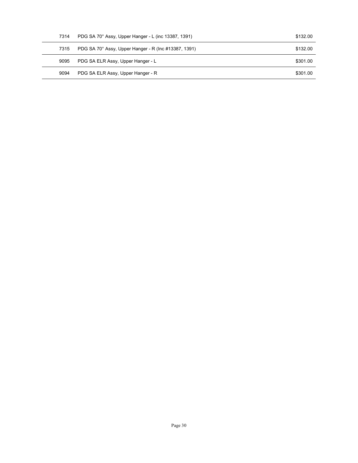| 7314 | PDG SA 70° Assy, Upper Hanger - L (inc 13387, 1391)  | \$132.00 |  |
|------|------------------------------------------------------|----------|--|
| 7315 | PDG SA 70° Assy, Upper Hanger - R (Inc #13387, 1391) | \$132.00 |  |
| 9095 | PDG SA ELR Assy, Upper Hanger - L                    | \$301.00 |  |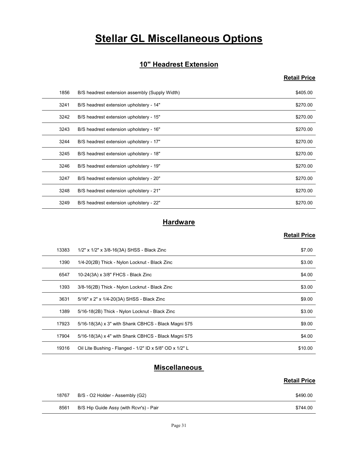# **Stellar GL Miscellaneous Options**

# 10" Headrest Extension

# Retail Price

|       | <b>Stellar GL Miscellaneous Options</b>        |                     |
|-------|------------------------------------------------|---------------------|
|       |                                                |                     |
|       | 10" Headrest Extension                         |                     |
|       |                                                | <b>Retail Price</b> |
| 1856  | B/S headrest extension assembly (Supply Width) | \$405.00            |
| 3241  | B/S headrest extension upholstery - 14"        | \$270.00            |
| 3242  | B/S headrest extension upholstery - 15"        | \$270.00            |
| 3243  | B/S headrest extension upholstery - 16"        | \$270.00            |
| 3244  | B/S headrest extension upholstery - 17"        | \$270.00            |
| 3245  | B/S headrest extension upholstery - 18"        | \$270.00            |
| 3246  | B/S headrest extension upholstery - 19"        | \$270.00            |
| 3247  | B/S headrest extension upholstery - 20"        | \$270.00            |
| 3248  | B/S headrest extension upholstery - 21"        | \$270.00            |
| 3249  | B/S headrest extension upholstery - 22"        | \$270.00            |
|       | <b>Hardware</b>                                |                     |
|       |                                                | <b>Retail Price</b> |
| 13383 | 1/2" x 1/2" x 3/8-16(3A) SHSS - Black Zinc     | \$7.00              |
| 1390  | 1/4-20(2B) Thick - Nylon Locknut - Black Zinc  | \$3.00              |
| 6547  | 10-24(3A) x 3/8" FHCS - Black Zinc             | \$4.00              |
| 1393  | 3/8-16(2B) Thick - Nylon Locknut - Black Zinc  | \$3.00              |
| 3631  | 5/16" x 2" x 1/4-20(3A) SHSS - Black Zinc      | \$9.00              |
| 1389  | 5/16-18(2B) Thick - Nylon Locknut - Black Zinc | \$3.00              |

# **Hardware**

#### Retail Price

| 3244  | B/S headrest extension upholstery - 17"                 | \$270.00            |
|-------|---------------------------------------------------------|---------------------|
| 3245  | B/S headrest extension upholstery - 18"                 | \$270.00            |
| 3246  | B/S headrest extension upholstery - 19"                 | \$270.00            |
| 3247  | B/S headrest extension upholstery - 20"                 | \$270.00            |
| 3248  | B/S headrest extension upholstery - 21"                 | \$270.00            |
| 3249  | B/S headrest extension upholstery - 22"                 | \$270.00            |
|       | <b>Hardware</b>                                         |                     |
|       |                                                         | <b>Retail Price</b> |
| 13383 | 1/2" x 1/2" x 3/8-16(3A) SHSS - Black Zinc              | \$7.00              |
| 1390  | 1/4-20(2B) Thick - Nylon Locknut - Black Zinc           | \$3.00              |
| 6547  | 10-24(3A) x 3/8" FHCS - Black Zinc                      | \$4.00              |
| 1393  | 3/8-16(2B) Thick - Nylon Locknut - Black Zinc           | \$3.00              |
| 3631  | 5/16" x 2" x 1/4-20(3A) SHSS - Black Zinc               | \$9.00              |
| 1389  | 5/16-18(2B) Thick - Nylon Locknut - Black Zinc          | \$3.00              |
| 17923 | 5/16-18(3A) x 3" with Shank CBHCS - Black Magni 575     | \$9.00              |
| 17904 | 5/16-18(3A) x 4" with Shank CBHCS - Black Magni 575     | \$4.00              |
| 19316 | Oil Lite Bushing - Flanged - 1/2" ID x 5/8" OD x 1/2" L | \$10.00             |
|       | <b>Miscellaneous</b>                                    |                     |
|       |                                                         | <b>Retail Price</b> |
|       |                                                         | \$490.00            |
| 18767 | B/S - O2 Holder - Assembly (G2)                         |                     |

# **Miscellaneous**

| 18767 | B/S - O2 Holder - Assembly (G2)         | \$490.00 |
|-------|-----------------------------------------|----------|
| 8561  | B/S Hip Guide Assy (with Rcvr's) - Pair | \$744.00 |